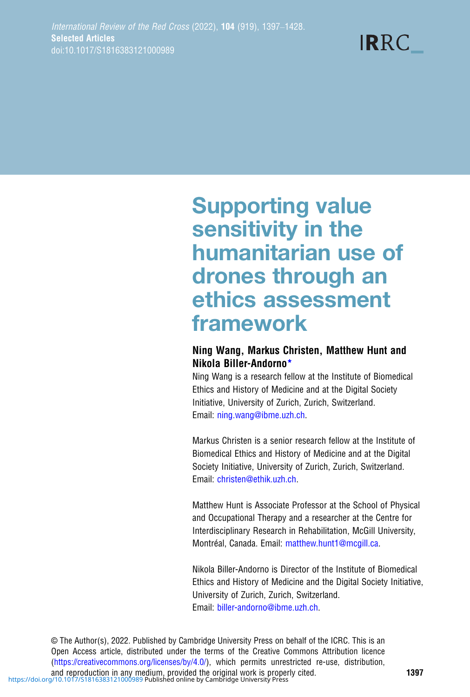**IRRC** 

# Supporting value sensitivity in the humanitarian use of drones through an ethics assessment framework

# Ning Wang, Markus Christen, Matthew Hunt and Nikola Biller-Andorno\*

Ning Wang is a research fellow at the Institute of Biomedical Ethics and History of Medicine and at the Digital Society Initiative, University of Zurich, Zurich, Switzerland. Email: [ning.wang@ibme.uzh.ch](mailto:ning.wang@ibme.uzh.ch).

Markus Christen is a senior research fellow at the Institute of Biomedical Ethics and History of Medicine and at the Digital Society Initiative, University of Zurich, Zurich, Switzerland. Email: [christen@ethik.uzh.ch](mailto:christen@ethik.uzh.ch).

Matthew Hunt is Associate Professor at the School of Physical and Occupational Therapy and a researcher at the Centre for Interdisciplinary Research in Rehabilitation, McGill University, Montréal, Canada. Email: [matthew.hunt1@mcgill.ca.](mailto:matthew.hunt1@mcgill.ca)

Nikola Biller-Andorno is Director of the Institute of Biomedical Ethics and History of Medicine and the Digital Society Initiative, University of Zurich, Zurich, Switzerland. Email: [biller-andorno@ibme.uzh.ch](mailto:biller-�andorno@ibme.uzh.ch).

© The Author(s), 2022. Published by Cambridge University Press on behalf of the ICRC. This is an Open Access article, distributed under the terms of the Creative Commons Attribution licence ([https://creativecommons.org/licenses/by/4.0/\)](https://creativecommons.org/licenses/by/4.0/), which permits unrestricted re-use, distribution, and reproduction in any medium, provided the original work is properly cited.<br><https://doi.org/10.1017/S1816383121000989>Published online by Cambridge University Press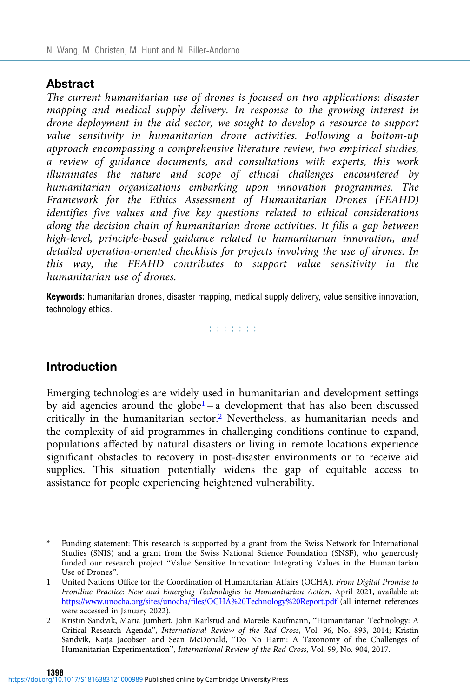### **Abstract**

The current humanitarian use of drones is focused on two applications: disaster mapping and medical supply delivery. In response to the growing interest in drone deployment in the aid sector, we sought to develop a resource to support value sensitivity in humanitarian drone activities. Following a bottom-up approach encompassing a comprehensive literature review, two empirical studies, a review of guidance documents, and consultations with experts, this work illuminates the nature and scope of ethical challenges encountered by humanitarian organizations embarking upon innovation programmes. The Framework for the Ethics Assessment of Humanitarian Drones (FEAHD) identifies five values and five key questions related to ethical considerations along the decision chain of humanitarian drone activities. It fills a gap between high-level, principle-based guidance related to humanitarian innovation, and detailed operation-oriented checklists for projects involving the use of drones. In this way, the FEAHD contributes to support value sensitivity in the humanitarian use of drones.

Keywords: humanitarian drones, disaster mapping, medical supply delivery, value sensitive innovation, technology ethics.

did did did

## Introduction

Emerging technologies are widely used in humanitarian and development settings by aid agencies around the globe<sup>1</sup> – a development that has also been discussed critically in the humanitarian sector.2 Nevertheless, as humanitarian needs and the complexity of aid programmes in challenging conditions continue to expand, populations affected by natural disasters or living in remote locations experience significant obstacles to recovery in post-disaster environments or to receive aid supplies. This situation potentially widens the gap of equitable access to assistance for people experiencing heightened vulnerability.

Funding statement: This research is supported by a grant from the Swiss Network for International Studies (SNIS) and a grant from the Swiss National Science Foundation (SNSF), who generously funded our research project "Value Sensitive Innovation: Integrating Values in the Humanitarian Use of Drones".

<sup>1</sup> United Nations Office for the Coordination of Humanitarian Affairs (OCHA), From Digital Promise to Frontline Practice: New and Emerging Technologies in Humanitarian Action, April 2021, available at: <https://www.unocha.org/sites/unocha/files/OCHA%20Technology%20Report.pdf> (all internet references were accessed in January 2022).

<sup>2</sup> Kristin Sandvik, Maria Jumbert, John Karlsrud and Mareile Kaufmann, "Humanitarian Technology: A Critical Research Agenda", International Review of the Red Cross, Vol. 96, No. 893, 2014; Kristin Sandvik, Katja Jacobsen and Sean McDonald, "Do No Harm: A Taxonomy of the Challenges of Humanitarian Experimentation", International Review of the Red Cross, Vol. 99, No. 904, 2017.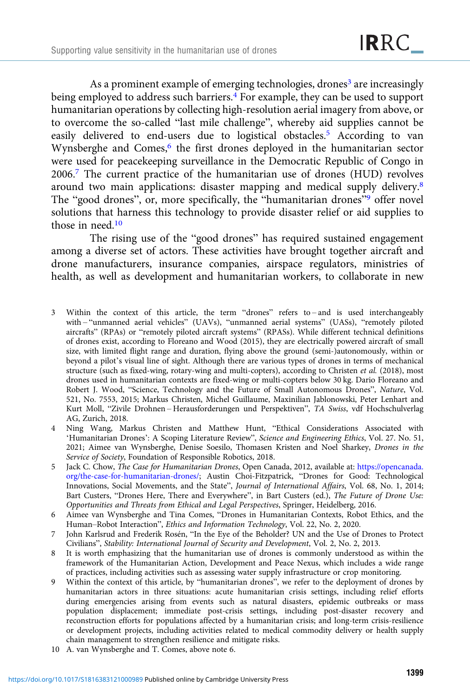As a prominent example of emerging technologies, drones<sup>3</sup> are increasingly being employed to address such barriers.<sup>4</sup> For example, they can be used to support humanitarian operations by collecting high-resolution aerial imagery from above, or to overcome the so-called "last mile challenge", whereby aid supplies cannot be easily delivered to end-users due to logistical obstacles.<sup>5</sup> According to van Wynsberghe and Comes,<sup>6</sup> the first drones deployed in the humanitarian sector were used for peacekeeping surveillance in the Democratic Republic of Congo in 2006.7 The current practice of the humanitarian use of drones (HUD) revolves around two main applications: disaster mapping and medical supply delivery.8 The "good drones", or, more specifically, the "humanitarian drones"<sup>9</sup> offer novel solutions that harness this technology to provide disaster relief or aid supplies to those in need.<sup>10</sup>

The rising use of the "good drones" has required sustained engagement among a diverse set of actors. These activities have brought together aircraft and drone manufacturers, insurance companies, airspace regulators, ministries of health, as well as development and humanitarian workers, to collaborate in new

- 3 Within the context of this article, the term "drones" refers to and is used interchangeably with – "unmanned aerial vehicles" (UAVs), "unmanned aerial systems" (UASs), "remotely piloted aircrafts" (RPAs) or "remotely piloted aircraft systems" (RPASs). While different technical definitions of drones exist, according to Floreano and Wood (2015), they are electrically powered aircraft of small size, with limited flight range and duration, flying above the ground (semi-)autonomously, within or beyond a pilot's visual line of sight. Although there are various types of drones in terms of mechanical structure (such as fixed-wing, rotary-wing and multi-copters), according to Christen et al. (2018), most drones used in humanitarian contexts are fixed-wing or multi-copters below 30 kg. Dario Floreano and Robert J. Wood, "Science, Technology and the Future of Small Autonomous Drones", Nature, Vol. 521, No. 7553, 2015; Markus Christen, Michel Guillaume, Maxinilian Jablonowski, Peter Lenhart and Kurt Moll, "Zivile Drohnen – Herausforderungen und Perspektiven", TA Swiss, vdf Hochschulverlag AG, Zurich, 2018.
- 4 Ning Wang, Markus Christen and Matthew Hunt, "Ethical Considerations Associated with 'Humanitarian Drones': A Scoping Literature Review", Science and Engineering Ethics, Vol. 27. No. 51, 2021; Aimee van Wynsberghe, Denise Soesilo, Thomasen Kristen and Noel Sharkey, Drones in the Service of Society, Foundation of Responsible Robotics, 2018.
- 5 Jack C. Chow, The Case for Humanitarian Drones, Open Canada, 2012, available at: [https://opencanada.](https://opencanada.org/the-case-for-humanitarian-drones/) [org/the-case-for-humanitarian-drones/](https://opencanada.org/the-case-for-humanitarian-drones/); Austin Choi-Fitzpatrick, "Drones for Good: Technological Innovations, Social Movements, and the State", Journal of International Affairs, Vol. 68, No. 1, 2014; Bart Custers, "Drones Here, There and Everywhere", in Bart Custers (ed.), The Future of Drone Use: Opportunities and Threats from Ethical and Legal Perspectives, Springer, Heidelberg, 2016.
- 6 Aimee van Wynsberghe and Tina Comes, "Drones in Humanitarian Contexts, Robot Ethics, and the Human–Robot Interaction", Ethics and Information Technology, Vol. 22, No. 2, 2020.
- 7 John Karlsrud and Frederik Rosén, "In the Eye of the Beholder? UN and the Use of Drones to Protect Civilians", Stability: International Journal of Security and Development, Vol. 2, No. 2, 2013.
- 8 It is worth emphasizing that the humanitarian use of drones is commonly understood as within the framework of the Humanitarian Action, Development and Peace Nexus, which includes a wide range of practices, including activities such as assessing water supply infrastructure or crop monitoring.
- 9 Within the context of this article, by "humanitarian drones", we refer to the deployment of drones by humanitarian actors in three situations: acute humanitarian crisis settings, including relief efforts during emergencies arising from events such as natural disasters, epidemic outbreaks or mass population displacement; immediate post-crisis settings, including post-disaster recovery and reconstruction efforts for populations affected by a humanitarian crisis; and long-term crisis-resilience or development projects, including activities related to medical commodity delivery or health supply chain management to strengthen resilience and mitigate risks.
- 10 A. van Wynsberghe and T. Comes, above note 6.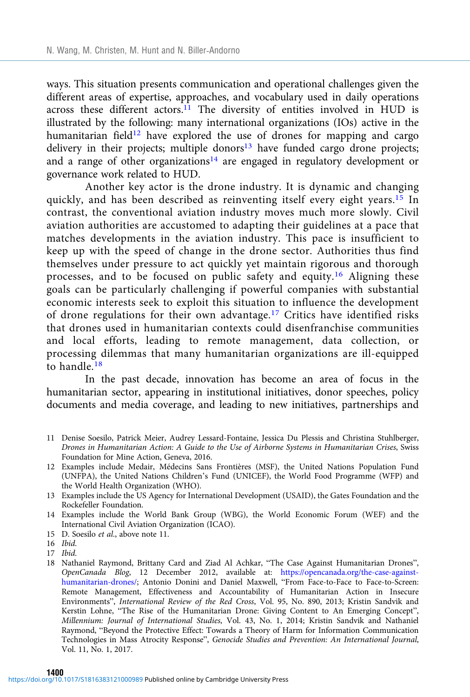ways. This situation presents communication and operational challenges given the different areas of expertise, approaches, and vocabulary used in daily operations across these different actors.<sup>11</sup> The diversity of entities involved in HUD is illustrated by the following: many international organizations (IOs) active in the humanitarian field<sup>12</sup> have explored the use of drones for mapping and cargo delivery in their projects; multiple donors $13$  have funded cargo drone projects; and a range of other organizations<sup>14</sup> are engaged in regulatory development or governance work related to HUD.

Another key actor is the drone industry. It is dynamic and changing quickly, and has been described as reinventing itself every eight years.<sup>15</sup> In contrast, the conventional aviation industry moves much more slowly. Civil aviation authorities are accustomed to adapting their guidelines at a pace that matches developments in the aviation industry. This pace is insufficient to keep up with the speed of change in the drone sector. Authorities thus find themselves under pressure to act quickly yet maintain rigorous and thorough processes, and to be focused on public safety and equity.<sup>16</sup> Aligning these goals can be particularly challenging if powerful companies with substantial economic interests seek to exploit this situation to influence the development of drone regulations for their own advantage.<sup>17</sup> Critics have identified risks that drones used in humanitarian contexts could disenfranchise communities and local efforts, leading to remote management, data collection, or processing dilemmas that many humanitarian organizations are ill-equipped to handle.<sup>18</sup>

In the past decade, innovation has become an area of focus in the humanitarian sector, appearing in institutional initiatives, donor speeches, policy documents and media coverage, and leading to new initiatives, partnerships and

- 11 Denise Soesilo, Patrick Meier, Audrey Lessard-Fontaine, Jessica Du Plessis and Christina Stuhlberger, Drones in Humanitarian Action: A Guide to the Use of Airborne Systems in Humanitarian Crises, Swiss Foundation for Mine Action, Geneva, 2016.
- 12 Examples include Medair, Médecins Sans Frontières (MSF), the United Nations Population Fund (UNFPA), the United Nations Children's Fund (UNICEF), the World Food Programme (WFP) and the World Health Organization (WHO).
- 13 Examples include the US Agency for International Development (USAID), the Gates Foundation and the Rockefeller Foundation.
- 14 Examples include the World Bank Group (WBG), the World Economic Forum (WEF) and the International Civil Aviation Organization (ICAO).
- 15 D. Soesilo et al., above note 11.

- 17 Ibid.
- 18 Nathaniel Raymond, Brittany Card and Ziad Al Achkar, "The Case Against Humanitarian Drones", OpenCanada Blog, 12 December 2012, available at: [https://opencanada.org/the-case-against](https://opencanada.org/the-case-against-humanitarian-drones/)[humanitarian-drones/;](https://opencanada.org/the-case-against-humanitarian-drones/) Antonio Donini and Daniel Maxwell, "From Face-to-Face to Face-to-Screen: Remote Management, Effectiveness and Accountability of Humanitarian Action in Insecure Environments", International Review of the Red Cross, Vol. 95, No. 890, 2013; Kristin Sandvik and Kerstin Lohne, "The Rise of the Humanitarian Drone: Giving Content to An Emerging Concept", Millennium: Journal of International Studies, Vol. 43, No. 1, 2014; Kristin Sandvik and Nathaniel Raymond, "Beyond the Protective Effect: Towards a Theory of Harm for Information Communication Technologies in Mass Atrocity Response", Genocide Studies and Prevention: An International Journal, Vol. 11, No. 1, 2017.

<sup>16</sup> Ibid.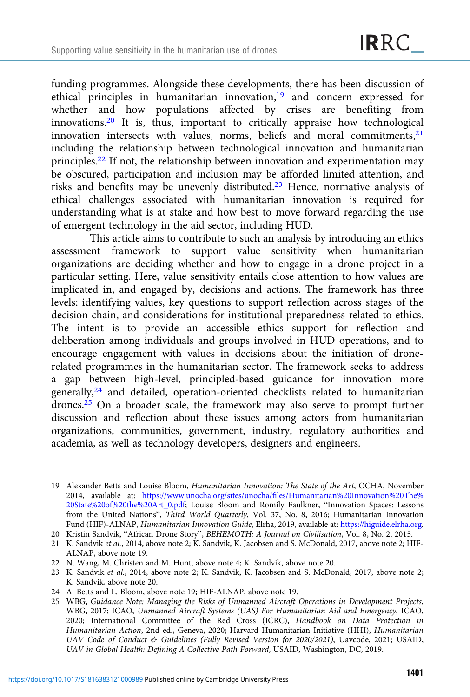funding programmes. Alongside these developments, there has been discussion of ethical principles in humanitarian innovation,<sup>19</sup> and concern expressed for whether and how populations affected by crises are benefiting from innovations.<sup>20</sup> It is, thus, important to critically appraise how technological innovation intersects with values, norms, beliefs and moral commitments,<sup>21</sup> including the relationship between technological innovation and humanitarian principles.22 If not, the relationship between innovation and experimentation may be obscured, participation and inclusion may be afforded limited attention, and risks and benefits may be unevenly distributed.<sup>23</sup> Hence, normative analysis of ethical challenges associated with humanitarian innovation is required for understanding what is at stake and how best to move forward regarding the use of emergent technology in the aid sector, including HUD.

This article aims to contribute to such an analysis by introducing an ethics assessment framework to support value sensitivity when humanitarian organizations are deciding whether and how to engage in a drone project in a particular setting. Here, value sensitivity entails close attention to how values are implicated in, and engaged by, decisions and actions. The framework has three levels: identifying values, key questions to support reflection across stages of the decision chain, and considerations for institutional preparedness related to ethics. The intent is to provide an accessible ethics support for reflection and deliberation among individuals and groups involved in HUD operations, and to encourage engagement with values in decisions about the initiation of dronerelated programmes in the humanitarian sector. The framework seeks to address a gap between high-level, principled-based guidance for innovation more generally,24 and detailed, operation-oriented checklists related to humanitarian drones.25 On a broader scale, the framework may also serve to prompt further discussion and reflection about these issues among actors from humanitarian organizations, communities, government, industry, regulatory authorities and academia, as well as technology developers, designers and engineers.

20 Kristin Sandvik, "African Drone Story", BEHEMOTH: A Journal on Civilisation, Vol. 8, No. 2, 2015.

- 21 K. Sandvik et al., 2014, above note 2; K. Sandvik, K. Jacobsen and S. McDonald, 2017, above note 2; HIF-ALNAP, above note 19.
- 22 N. Wang, M. Christen and M. Hunt, above note 4; K. Sandvik, above note 20.
- 23 K. Sandvik et al., 2014, above note 2; K. Sandvik, K. Jacobsen and S. McDonald, 2017, above note 2; K. Sandvik, above note 20.
- 24 A. Betts and L. Bloom, above note 19; HIF-ALNAP, above note 19.
- 25 WBG, Guidance Note: Managing the Risks of Unmanned Aircraft Operations in Development Projects, WBG, 2017; ICAO, Unmanned Aircraft Systems (UAS) For Humanitarian Aid and Emergency, ICAO, 2020; International Committee of the Red Cross (ICRC), Handbook on Data Protection in Humanitarian Action, 2nd ed., Geneva, 2020; Harvard Humanitarian Initiative (HHI), Humanitarian UAV Code of Conduct & Guidelines (Fully Revised Version for 2020/2021), Uavcode, 2021; USAID, UAV in Global Health: Defining A Collective Path Forward, USAID, Washington, DC, 2019.

<sup>19</sup> Alexander Betts and Louise Bloom, Humanitarian Innovation: The State of the Art, OCHA, November 2014, available at: [https://www.unocha.org/sites/unocha/files/Humanitarian%20Innovation%20The%](https://www.unocha.org/sites/unocha/files/Humanitarian%20Innovation%20The%20State%20of%20the%20Art_0.pdf) [20State%20of%20the%20Art\\_0.pdf](https://www.unocha.org/sites/unocha/files/Humanitarian%20Innovation%20The%20State%20of%20the%20Art_0.pdf); Louise Bloom and Romily Faulkner, "Innovation Spaces: Lessons from the United Nations", Third World Quarterly, Vol. 37, No. 8, 2016; Humanitarian Innovation Fund (HIF)-ALNAP, Humanitarian Innovation Guide, Elrha, 2019, available at: <https://higuide.elrha.org>.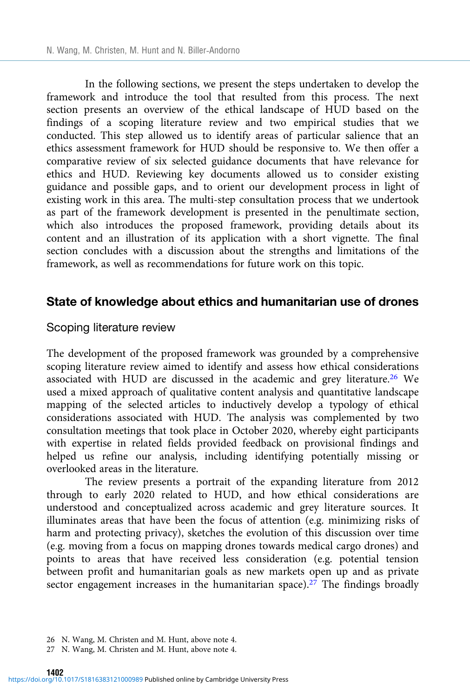In the following sections, we present the steps undertaken to develop the framework and introduce the tool that resulted from this process. The next section presents an overview of the ethical landscape of HUD based on the findings of a scoping literature review and two empirical studies that we conducted. This step allowed us to identify areas of particular salience that an ethics assessment framework for HUD should be responsive to. We then offer a comparative review of six selected guidance documents that have relevance for ethics and HUD. Reviewing key documents allowed us to consider existing guidance and possible gaps, and to orient our development process in light of existing work in this area. The multi-step consultation process that we undertook as part of the framework development is presented in the penultimate section, which also introduces the proposed framework, providing details about its content and an illustration of its application with a short vignette. The final section concludes with a discussion about the strengths and limitations of the framework, as well as recommendations for future work on this topic.

## State of knowledge about ethics and humanitarian use of drones

#### Scoping literature review

The development of the proposed framework was grounded by a comprehensive scoping literature review aimed to identify and assess how ethical considerations associated with HUD are discussed in the academic and grey literature.26 We used a mixed approach of qualitative content analysis and quantitative landscape mapping of the selected articles to inductively develop a typology of ethical considerations associated with HUD. The analysis was complemented by two consultation meetings that took place in October 2020, whereby eight participants with expertise in related fields provided feedback on provisional findings and helped us refine our analysis, including identifying potentially missing or overlooked areas in the literature.

The review presents a portrait of the expanding literature from 2012 through to early 2020 related to HUD, and how ethical considerations are understood and conceptualized across academic and grey literature sources. It illuminates areas that have been the focus of attention (e.g. minimizing risks of harm and protecting privacy), sketches the evolution of this discussion over time (e.g. moving from a focus on mapping drones towards medical cargo drones) and points to areas that have received less consideration (e.g. potential tension between profit and humanitarian goals as new markets open up and as private sector engagement increases in the humanitarian space).<sup>27</sup> The findings broadly

<sup>26</sup> N. Wang, M. Christen and M. Hunt, above note 4.

<sup>27</sup> N. Wang, M. Christen and M. Hunt, above note 4.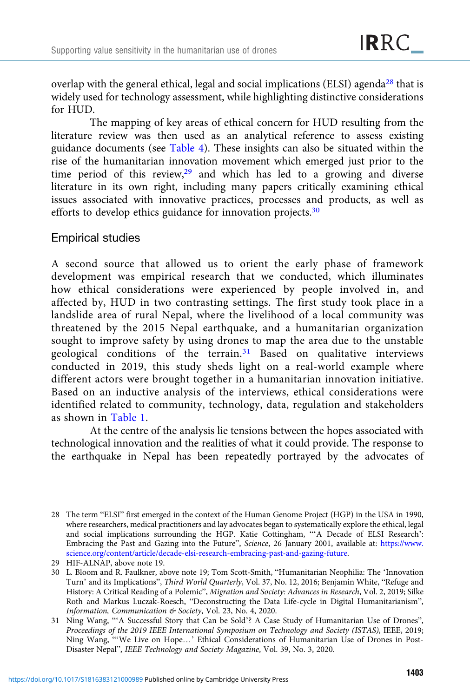overlap with the general ethical, legal and social implications (ELSI) agenda<sup>28</sup> that is widely used for technology assessment, while highlighting distinctive considerations for HUD.

The mapping of key areas of ethical concern for HUD resulting from the literature review was then used as an analytical reference to assess existing guidance documents (see [Table 4](#page-21-0)). These insights can also be situated within the rise of the humanitarian innovation movement which emerged just prior to the time period of this review, $29$  and which has led to a growing and diverse literature in its own right, including many papers critically examining ethical issues associated with innovative practices, processes and products, as well as efforts to develop ethics guidance for innovation projects.<sup>30</sup>

# Empirical studies

A second source that allowed us to orient the early phase of framework development was empirical research that we conducted, which illuminates how ethical considerations were experienced by people involved in, and affected by, HUD in two contrasting settings. The first study took place in a landslide area of rural Nepal, where the livelihood of a local community was threatened by the 2015 Nepal earthquake, and a humanitarian organization sought to improve safety by using drones to map the area due to the unstable geological conditions of the terrain.<sup>31</sup> Based on qualitative interviews conducted in 2019, this study sheds light on a real-world example where different actors were brought together in a humanitarian innovation initiative. Based on an inductive analysis of the interviews, ethical considerations were identified related to community, technology, data, regulation and stakeholders as shown in [Table 1](#page-7-0).

At the centre of the analysis lie tensions between the hopes associated with technological innovation and the realities of what it could provide. The response to the earthquake in Nepal has been repeatedly portrayed by the advocates of

<sup>28</sup> The term "ELSI" first emerged in the context of the Human Genome Project (HGP) in the USA in 1990, where researchers, medical practitioners and lay advocates began to systematically explore the ethical, legal and social implications surrounding the HGP. Katie Cottingham, "'A Decade of ELSI Research': Embracing the Past and Gazing into the Future", Science, 26 January 2001, available at: [https://www.](https://www.science.org/content/article/decade-elsi-research-embracing-past-and-gazing-future) [science.org/content/article/decade-elsi-research-embracing-past-and-gazing-future.](https://www.science.org/content/article/decade-elsi-research-embracing-past-and-gazing-future)

<sup>29</sup> HIF-ALNAP, above note 19.

<sup>30</sup> L. Bloom and R. Faulkner, above note 19; Tom Scott-Smith, "Humanitarian Neophilia: The 'Innovation Turn' and its Implications", Third World Quarterly, Vol. 37, No. 12, 2016; Benjamin White, "Refuge and History: A Critical Reading of a Polemic", Migration and Society: Advances in Research, Vol. 2, 2019; Silke Roth and Markus Luczak-Roesch, "Deconstructing the Data Life-cycle in Digital Humanitarianism", Information, Communication & Society, Vol. 23, No. 4, 2020.

<sup>31</sup> Ning Wang, "'A Successful Story that Can be Sold'? A Case Study of Humanitarian Use of Drones", Proceedings of the 2019 IEEE International Symposium on Technology and Society (ISTAS), IEEE, 2019; Ning Wang, "'We Live on Hope…' Ethical Considerations of Humanitarian Use of Drones in Post-Disaster Nepal", IEEE Technology and Society Magazine, Vol. 39, No. 3, 2020.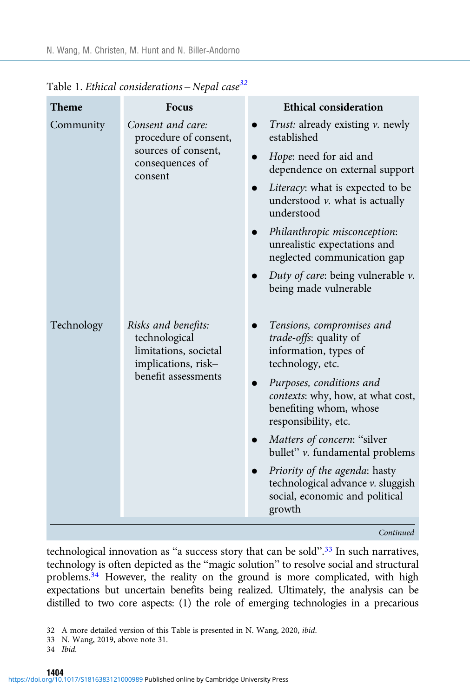| <b>Theme</b> | Focus                                                                                                       | <b>Ethical consideration</b>                                                                                                                                                                                                                                                                                                               |
|--------------|-------------------------------------------------------------------------------------------------------------|--------------------------------------------------------------------------------------------------------------------------------------------------------------------------------------------------------------------------------------------------------------------------------------------------------------------------------------------|
| Community    | Consent and care:<br>procedure of consent,                                                                  | <i>Trust:</i> already existing <i>v</i> . newly<br>established                                                                                                                                                                                                                                                                             |
|              | sources of consent,<br>consequences of<br>consent                                                           | Hope: need for aid and<br>dependence on external support                                                                                                                                                                                                                                                                                   |
|              |                                                                                                             | Literacy: what is expected to be<br>$\bullet$<br>understood $\nu$ . what is actually<br>understood                                                                                                                                                                                                                                         |
|              |                                                                                                             | Philanthropic misconception:<br>unrealistic expectations and<br>neglected communication gap                                                                                                                                                                                                                                                |
|              |                                                                                                             | Duty of care: being vulnerable $\nu$ .<br>being made vulnerable                                                                                                                                                                                                                                                                            |
| Technology   | Risks and benefits:<br>technological<br>limitations, societal<br>implications, risk-<br>benefit assessments | Tensions, compromises and<br>$\bullet$<br><i>trade-offs:</i> quality of<br>information, types of<br>technology, etc.<br>Purposes, conditions and<br>contexts: why, how, at what cost,<br>benefiting whom, whose<br>responsibility, etc.<br>Matters of concern: "silver<br>bullet" v. fundamental problems<br>Priority of the agenda: hasty |
|              |                                                                                                             | technological advance v. sluggish<br>social, economic and political<br>growth                                                                                                                                                                                                                                                              |
|              |                                                                                                             | Continued                                                                                                                                                                                                                                                                                                                                  |

<span id="page-7-0"></span>Table 1. Ethical considerations - Nepal case<sup>32</sup>

technological innovation as "a success story that can be sold".<sup>33</sup> In such narratives, technology is often depicted as the "magic solution" to resolve social and structural problems.<sup>34</sup> However, the reality on the ground is more complicated, with high expectations but uncertain benefits being realized. Ultimately, the analysis can be distilled to two core aspects: (1) the role of emerging technologies in a precarious

- 33 N. Wang, 2019, above note 31.
- 34 Ibid.

<sup>32</sup> A more detailed version of this Table is presented in N. Wang, 2020, ibid.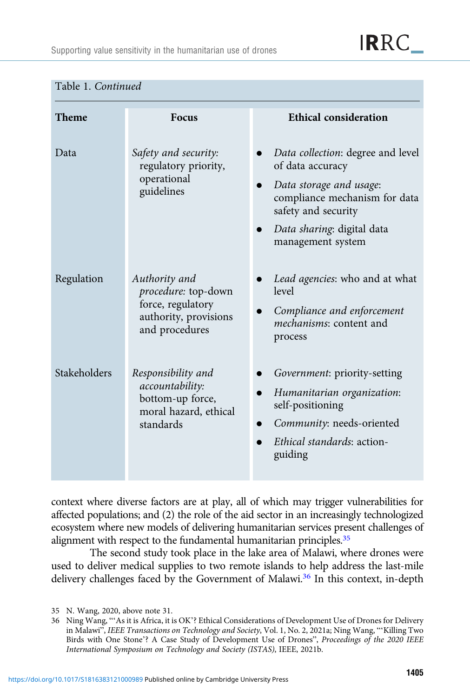**IRRC** 

| Theme        | <b>Focus</b>                                                                                         | <b>Ethical consideration</b>                                                                                                                                                                |
|--------------|------------------------------------------------------------------------------------------------------|---------------------------------------------------------------------------------------------------------------------------------------------------------------------------------------------|
| Data         | Safety and security:<br>regulatory priority,<br>operational<br>guidelines                            | Data collection: degree and level<br>of data accuracy<br>Data storage and usage:<br>compliance mechanism for data<br>safety and security<br>Data sharing: digital data<br>management system |
| Regulation   | Authority and<br>procedure: top-down<br>force, regulatory<br>authority, provisions<br>and procedures | Lead agencies: who and at what<br>level<br>Compliance and enforcement<br>mechanisms: content and<br>process                                                                                 |
| Stakeholders | Responsibility and<br>accountability:<br>bottom-up force,<br>moral hazard, ethical<br>standards      | Government: priority-setting<br>Humanitarian organization:<br>self-positioning<br>Community: needs-oriented<br>Ethical standards: action-<br>guiding                                        |

#### Table 1. Continued

context where diverse factors are at play, all of which may trigger vulnerabilities for affected populations; and (2) the role of the aid sector in an increasingly technologized ecosystem where new models of delivering humanitarian services present challenges of alignment with respect to the fundamental humanitarian principles.<sup>35</sup>

The second study took place in the lake area of Malawi, where drones were used to deliver medical supplies to two remote islands to help address the last-mile delivery challenges faced by the Government of Malawi.<sup>36</sup> In this context, in-depth

<sup>35</sup> N. Wang, 2020, above note 31.

<sup>36</sup> Ning Wang, "'As it is Africa, it is OK'? Ethical Considerations of Development Use of Drones for Delivery in Malawi", IEEE Transactions on Technology and Society, Vol. 1, No. 2, 2021a; Ning Wang, "'Killing Two Birds with One Stone'? A Case Study of Development Use of Drones", Proceedings of the 2020 IEEE International Symposium on Technology and Society (ISTAS), IEEE, 2021b.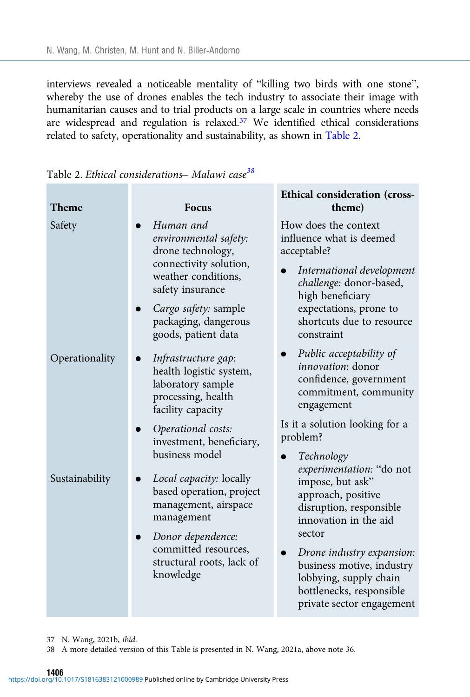interviews revealed a noticeable mentality of "killing two birds with one stone", whereby the use of drones enables the tech industry to associate their image with humanitarian causes and to trial products on a large scale in countries where needs are widespread and regulation is relaxed.<sup>37</sup> We identified ethical considerations related to safety, operationality and sustainability, as shown in Table 2.

| <b>Theme</b>   | Focus                                                                                                                                                                                               | Ethical consideration (cross-<br>theme)                                                                                                                                                                                                                                                    |
|----------------|-----------------------------------------------------------------------------------------------------------------------------------------------------------------------------------------------------|--------------------------------------------------------------------------------------------------------------------------------------------------------------------------------------------------------------------------------------------------------------------------------------------|
| Safety         | Human and<br>environmental safety:<br>drone technology,<br>connectivity solution,<br>weather conditions,<br>safety insurance<br>Cargo safety: sample<br>packaging, dangerous<br>goods, patient data | How does the context<br>influence what is deemed<br>acceptable?<br>International development<br>$\bullet$<br>challenge: donor-based,<br>high beneficiary<br>expectations, prone to<br>shortcuts due to resource<br>constraint                                                              |
| Operationality | Infrastructure gap:<br>health logistic system,<br>laboratory sample<br>processing, health<br>facility capacity<br>Operational costs:<br>investment, beneficiary,<br>business model                  | Public acceptability of<br>$\bullet$<br>innovation: donor<br>confidence, government<br>commitment, community<br>engagement<br>Is it a solution looking for a<br>problem?<br>Technology<br>$\bullet$                                                                                        |
| Sustainability | Local capacity: locally<br>based operation, project<br>management, airspace<br>management<br>Donor dependence:<br>committed resources,<br>structural roots, lack of<br>knowledge                    | experimentation: "do not<br>impose, but ask"<br>approach, positive<br>disruption, responsible<br>innovation in the aid<br>sector<br>Drone industry expansion:<br>$\bullet$<br>business motive, industry<br>lobbying, supply chain<br>bottlenecks, responsible<br>private sector engagement |

Table 2. Ethical considerations- Malawi case<sup>38</sup>

- 37 N. Wang, 2021b, ibid.
- 38 A more detailed version of this Table is presented in N. Wang, 2021a, above note 36.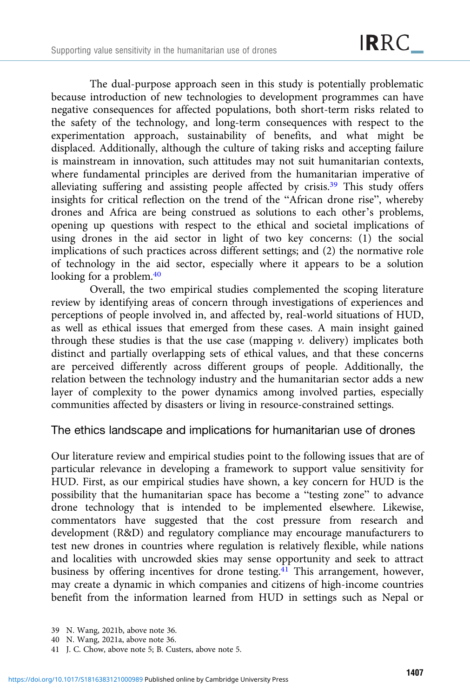The dual-purpose approach seen in this study is potentially problematic because introduction of new technologies to development programmes can have negative consequences for affected populations, both short-term risks related to the safety of the technology, and long-term consequences with respect to the experimentation approach, sustainability of benefits, and what might be displaced. Additionally, although the culture of taking risks and accepting failure is mainstream in innovation, such attitudes may not suit humanitarian contexts, where fundamental principles are derived from the humanitarian imperative of alleviating suffering and assisting people affected by crisis.39 This study offers insights for critical reflection on the trend of the "African drone rise", whereby drones and Africa are being construed as solutions to each other's problems, opening up questions with respect to the ethical and societal implications of using drones in the aid sector in light of two key concerns: (1) the social implications of such practices across different settings; and (2) the normative role of technology in the aid sector, especially where it appears to be a solution looking for a problem.<sup>40</sup>

Overall, the two empirical studies complemented the scoping literature review by identifying areas of concern through investigations of experiences and perceptions of people involved in, and affected by, real-world situations of HUD, as well as ethical issues that emerged from these cases. A main insight gained through these studies is that the use case (mapping  $\nu$ . delivery) implicates both distinct and partially overlapping sets of ethical values, and that these concerns are perceived differently across different groups of people. Additionally, the relation between the technology industry and the humanitarian sector adds a new layer of complexity to the power dynamics among involved parties, especially communities affected by disasters or living in resource-constrained settings.

# The ethics landscape and implications for humanitarian use of drones

Our literature review and empirical studies point to the following issues that are of particular relevance in developing a framework to support value sensitivity for HUD. First, as our empirical studies have shown, a key concern for HUD is the possibility that the humanitarian space has become a "testing zone" to advance drone technology that is intended to be implemented elsewhere. Likewise, commentators have suggested that the cost pressure from research and development (R&D) and regulatory compliance may encourage manufacturers to test new drones in countries where regulation is relatively flexible, while nations and localities with uncrowded skies may sense opportunity and seek to attract business by offering incentives for drone testing.<sup>41</sup> This arrangement, however, may create a dynamic in which companies and citizens of high-income countries benefit from the information learned from HUD in settings such as Nepal or

<sup>39</sup> N. Wang, 2021b, above note 36.

<sup>40</sup> N. Wang, 2021a, above note 36.

<sup>41</sup> J. C. Chow, above note 5; B. Custers, above note 5.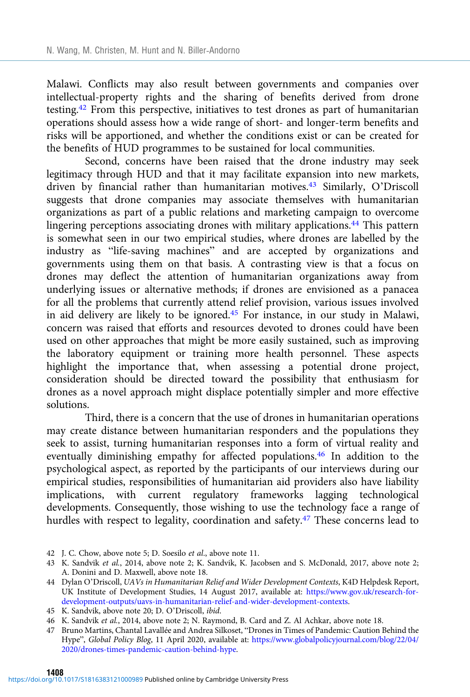Malawi. Conflicts may also result between governments and companies over intellectual-property rights and the sharing of benefits derived from drone testing.42 From this perspective, initiatives to test drones as part of humanitarian operations should assess how a wide range of short- and longer-term benefits and risks will be apportioned, and whether the conditions exist or can be created for the benefits of HUD programmes to be sustained for local communities.

Second, concerns have been raised that the drone industry may seek legitimacy through HUD and that it may facilitate expansion into new markets, driven by financial rather than humanitarian motives.43 Similarly, O'Driscoll suggests that drone companies may associate themselves with humanitarian organizations as part of a public relations and marketing campaign to overcome lingering perceptions associating drones with military applications.<sup>44</sup> This pattern is somewhat seen in our two empirical studies, where drones are labelled by the industry as "life-saving machines" and are accepted by organizations and governments using them on that basis. A contrasting view is that a focus on drones may deflect the attention of humanitarian organizations away from underlying issues or alternative methods; if drones are envisioned as a panacea for all the problems that currently attend relief provision, various issues involved in aid delivery are likely to be ignored.45 For instance, in our study in Malawi, concern was raised that efforts and resources devoted to drones could have been used on other approaches that might be more easily sustained, such as improving the laboratory equipment or training more health personnel. These aspects highlight the importance that, when assessing a potential drone project, consideration should be directed toward the possibility that enthusiasm for drones as a novel approach might displace potentially simpler and more effective solutions.

Third, there is a concern that the use of drones in humanitarian operations may create distance between humanitarian responders and the populations they seek to assist, turning humanitarian responses into a form of virtual reality and eventually diminishing empathy for affected populations.46 In addition to the psychological aspect, as reported by the participants of our interviews during our empirical studies, responsibilities of humanitarian aid providers also have liability implications, with current regulatory frameworks lagging technological developments. Consequently, those wishing to use the technology face a range of hurdles with respect to legality, coordination and safety.<sup>47</sup> These concerns lead to

- 42 J. C. Chow, above note 5; D. Soesilo et al., above note 11.
- 43 K. Sandvik et al., 2014, above note 2; K. Sandvik, K. Jacobsen and S. McDonald, 2017, above note 2; A. Donini and D. Maxwell, above note 18.
- 44 Dylan O'Driscoll, UAVs in Humanitarian Relief and Wider Development Contexts, K4D Helpdesk Report, UK Institute of Development Studies, 14 August 2017, available at: [https://www.gov.uk/research-for](https://www.gov.uk/research-for-development-outputs/uavs-in-humanitarian-relief-and-wider-development-contexts)[development-outputs/uavs-in-humanitarian-relief-and-wider-development-contexts](https://www.gov.uk/research-for-development-outputs/uavs-in-humanitarian-relief-and-wider-development-contexts).
- 45 K. Sandvik, above note 20; D. O'Driscoll, ibid.

<sup>46</sup> K. Sandvik et al., 2014, above note 2; N. Raymond, B. Card and Z. Al Achkar, above note 18.

<sup>47</sup> Bruno Martins, Chantal Lavallée and Andrea Silkoset, "Drones in Times of Pandemic: Caution Behind the Hype", Global Policy Blog, 11 April 2020, available at: [https://www.globalpolicyjournal.com/blog/22/04/](https://www.globalpolicyjournal.com/blog/22/04/2020/drones-times-pandemic-caution-behind-hype) [2020/drones-times-pandemic-caution-behind-hype.](https://www.globalpolicyjournal.com/blog/22/04/2020/drones-times-pandemic-caution-behind-hype)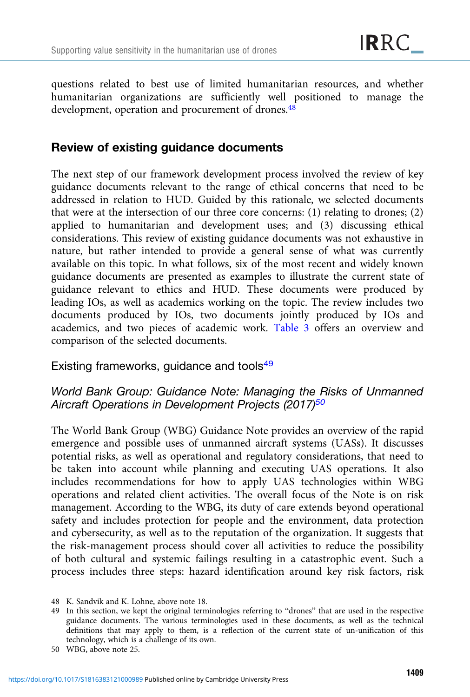questions related to best use of limited humanitarian resources, and whether humanitarian organizations are sufficiently well positioned to manage the development, operation and procurement of drones.<sup>48</sup>

# Review of existing guidance documents

The next step of our framework development process involved the review of key guidance documents relevant to the range of ethical concerns that need to be addressed in relation to HUD. Guided by this rationale, we selected documents that were at the intersection of our three core concerns: (1) relating to drones; (2) applied to humanitarian and development uses; and (3) discussing ethical considerations. This review of existing guidance documents was not exhaustive in nature, but rather intended to provide a general sense of what was currently available on this topic. In what follows, six of the most recent and widely known guidance documents are presented as examples to illustrate the current state of guidance relevant to ethics and HUD. These documents were produced by leading IOs, as well as academics working on the topic. The review includes two documents produced by IOs, two documents jointly produced by IOs and academics, and two pieces of academic work. [Table 3](#page-13-0) offers an overview and comparison of the selected documents.

Existing frameworks, guidance and tools<sup>49</sup>

# World Bank Group: Guidance Note: Managing the Risks of Unmanned Aircraft Operations in Development Projects (2017)<sup>50</sup>

The World Bank Group (WBG) Guidance Note provides an overview of the rapid emergence and possible uses of unmanned aircraft systems (UASs). It discusses potential risks, as well as operational and regulatory considerations, that need to be taken into account while planning and executing UAS operations. It also includes recommendations for how to apply UAS technologies within WBG operations and related client activities. The overall focus of the Note is on risk management. According to the WBG, its duty of care extends beyond operational safety and includes protection for people and the environment, data protection and cybersecurity, as well as to the reputation of the organization. It suggests that the risk-management process should cover all activities to reduce the possibility of both cultural and systemic failings resulting in a catastrophic event. Such a process includes three steps: hazard identification around key risk factors, risk

<sup>48</sup> K. Sandvik and K. Lohne, above note 18.

<sup>49</sup> In this section, we kept the original terminologies referring to "drones" that are used in the respective guidance documents. The various terminologies used in these documents, as well as the technical definitions that may apply to them, is a reflection of the current state of un-unification of this technology, which is a challenge of its own.

<sup>50</sup> WBG, above note 25.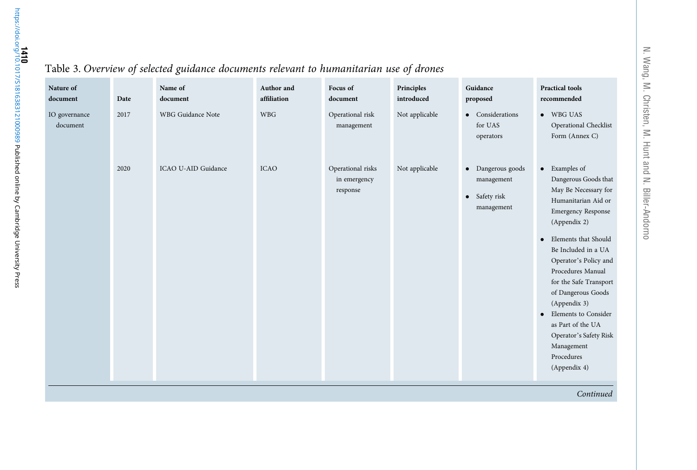| $\circ$                   |      |                     |                           |                                               |                          |                                                                |                                                                                                                                                                                                                                                                                                                                                                                                                                |  |  |  |
|---------------------------|------|---------------------|---------------------------|-----------------------------------------------|--------------------------|----------------------------------------------------------------|--------------------------------------------------------------------------------------------------------------------------------------------------------------------------------------------------------------------------------------------------------------------------------------------------------------------------------------------------------------------------------------------------------------------------------|--|--|--|
| Nature of<br>document     | Date | Name of<br>document | Author and<br>affiliation | Focus of<br>document                          | Principles<br>introduced | Guidance<br>proposed                                           | <b>Practical tools</b><br>recommended                                                                                                                                                                                                                                                                                                                                                                                          |  |  |  |
| IO governance<br>document | 2017 | WBG Guidance Note   | <b>WBG</b>                | Operational risk<br>management                | Not applicable           | • Considerations<br>for UAS<br>operators                       | $\bullet$ WBG UAS<br>Operational Checklist<br>Form (Annex C)                                                                                                                                                                                                                                                                                                                                                                   |  |  |  |
|                           | 2020 | ICAO U-AID Guidance | <b>ICAO</b>               | Operational risks<br>in emergency<br>response | Not applicable           | • Dangerous goods<br>management<br>• Safety risk<br>management | • Examples of<br>Dangerous Goods that<br>May Be Necessary for<br>Humanitarian Aid or<br><b>Emergency Response</b><br>(Appendix 2)<br>Elements that Should<br>$\bullet$<br>Be Included in a UA<br>Operator's Policy and<br>Procedures Manual<br>for the Safe Transport<br>of Dangerous Goods<br>(Appendix 3)<br>Elements to Consider<br>as Part of the UA<br>Operator's Safety Risk<br>Management<br>Procedures<br>(Appendix 4) |  |  |  |
|                           |      |                     |                           |                                               |                          |                                                                | Continged                                                                                                                                                                                                                                                                                                                                                                                                                      |  |  |  |

# <span id="page-13-0"></span>Table 3. Overview of selected guidance documents relevant to humanitarian use of drones

Continued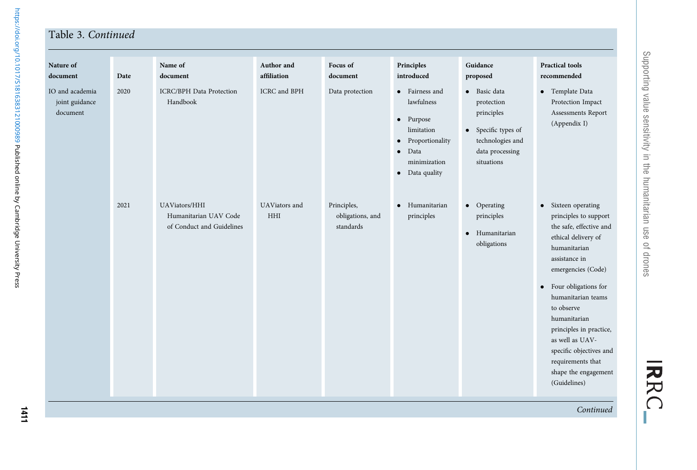## Table 3. Continued

| Nature of<br>document                         | Date | Name of<br>document                                                 | Author and<br>affiliation   | Focus of<br>document                         | Principles<br>introduced                                                                                                                               | Guidance<br>proposed                                                                                                 | <b>Practical tools</b><br>recommended                                                                                                                                                                                                                                                                                                                                     |
|-----------------------------------------------|------|---------------------------------------------------------------------|-----------------------------|----------------------------------------------|--------------------------------------------------------------------------------------------------------------------------------------------------------|----------------------------------------------------------------------------------------------------------------------|---------------------------------------------------------------------------------------------------------------------------------------------------------------------------------------------------------------------------------------------------------------------------------------------------------------------------------------------------------------------------|
| IO and academia<br>joint guidance<br>document | 2020 | <b>ICRC/BPH</b> Data Protection<br>Handbook                         | ICRC and BPH                | Data protection                              | • Fairness and<br>lawfulness<br>$\bullet$ Purpose<br>limitation<br>Proportionality<br>$\bullet$<br>Data<br>$\bullet$<br>minimization<br>• Data quality | · Basic data<br>protection<br>principles<br>• Specific types of<br>technologies and<br>data processing<br>situations | • Template Data<br>Protection Impact<br>Assessments Report<br>(Appendix I)                                                                                                                                                                                                                                                                                                |
|                                               | 2021 | UAViators/HHI<br>Humanitarian UAV Code<br>of Conduct and Guidelines | UAViators and<br><b>HHI</b> | Principles,<br>obligations, and<br>standards | Humanitarian<br>$\bullet$<br>principles                                                                                                                | $\bullet$ Operating<br>principles<br>Humanitarian<br>$\bullet$<br>obligations                                        | • Sixteen operating<br>principles to support<br>the safe, effective and<br>ethical delivery of<br>humanitarian<br>assistance in<br>emergencies (Code)<br>• Four obligations for<br>humanitarian teams<br>to observe<br>humanitarian<br>principles in practice,<br>as well as UAV-<br>specific objectives and<br>requirements that<br>shape the engagement<br>(Guidelines) |

Continued

https://doi.org/10.1017/S1816383121000989 Published online by Cambridge University Press <https://doi.org/10.1017/S1816383121000989>Published online by Cambridge University Press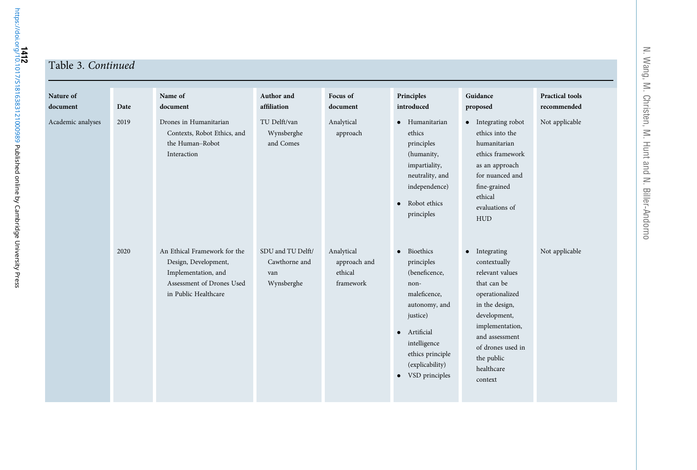#### Table 3. Continued

| Nature of<br>document | Date | Name of<br>document                                                                                                              | Author and<br>affiliation                               | Focus of<br>document                               | Principles<br>introduced                                                                                                                                                                              | Guidance<br>proposed                                                                                                                                                                                                  | <b>Practical tools</b><br>recommended |
|-----------------------|------|----------------------------------------------------------------------------------------------------------------------------------|---------------------------------------------------------|----------------------------------------------------|-------------------------------------------------------------------------------------------------------------------------------------------------------------------------------------------------------|-----------------------------------------------------------------------------------------------------------------------------------------------------------------------------------------------------------------------|---------------------------------------|
| Academic analyses     | 2019 | Drones in Humanitarian<br>Contexts, Robot Ethics, and<br>the Human-Robot<br>Interaction                                          | TU Delft/van<br>Wynsberghe<br>and Comes                 | Analytical<br>approach                             | • Humanitarian<br>ethics<br>principles<br>(humanity,<br>impartiality,<br>neutrality, and<br>independence)<br>• Robot ethics<br>principles                                                             | • Integrating robot<br>ethics into the<br>humanitarian<br>ethics framework<br>as an approach<br>for nuanced and<br>fine-grained<br>ethical<br>evaluations of<br><b>HUD</b>                                            | Not applicable                        |
|                       | 2020 | An Ethical Framework for the<br>Design, Development,<br>Implementation, and<br>Assessment of Drones Used<br>in Public Healthcare | SDU and TU Delft/<br>Cawthorne and<br>van<br>Wynsberghe | Analytical<br>approach and<br>ethical<br>framework | Bioethics<br>$\bullet$<br>principles<br>(beneficence,<br>non-<br>maleficence,<br>autonomy, and<br>justice)<br>· Artificial<br>intelligence<br>ethics principle<br>(explicability)<br>• VSD principles | • Integrating<br>contextually<br>relevant values<br>that can be<br>operationalized<br>in the design,<br>development,<br>implementation,<br>and assessment<br>of drones used in<br>the public<br>healthcare<br>context | Not applicable                        |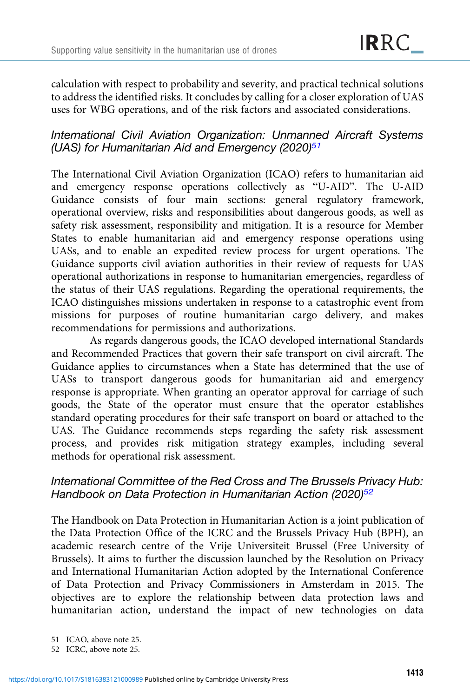calculation with respect to probability and severity, and practical technical solutions to address the identified risks. It concludes by calling for a closer exploration of UAS uses for WBG operations, and of the risk factors and associated considerations.

# International Civil Aviation Organization: Unmanned Aircraft Systems (UAS) for Humanitarian Aid and Emergency (2020) $51$

The International Civil Aviation Organization (ICAO) refers to humanitarian aid and emergency response operations collectively as "U-AID". The U-AID Guidance consists of four main sections: general regulatory framework, operational overview, risks and responsibilities about dangerous goods, as well as safety risk assessment, responsibility and mitigation. It is a resource for Member States to enable humanitarian aid and emergency response operations using UASs, and to enable an expedited review process for urgent operations. The Guidance supports civil aviation authorities in their review of requests for UAS operational authorizations in response to humanitarian emergencies, regardless of the status of their UAS regulations. Regarding the operational requirements, the ICAO distinguishes missions undertaken in response to a catastrophic event from missions for purposes of routine humanitarian cargo delivery, and makes recommendations for permissions and authorizations.

As regards dangerous goods, the ICAO developed international Standards and Recommended Practices that govern their safe transport on civil aircraft. The Guidance applies to circumstances when a State has determined that the use of UASs to transport dangerous goods for humanitarian aid and emergency response is appropriate. When granting an operator approval for carriage of such goods, the State of the operator must ensure that the operator establishes standard operating procedures for their safe transport on board or attached to the UAS. The Guidance recommends steps regarding the safety risk assessment process, and provides risk mitigation strategy examples, including several methods for operational risk assessment.

# International Committee of the Red Cross and The Brussels Privacy Hub: Handbook on Data Protection in Humanitarian Action (2020)<sup>52</sup>

The Handbook on Data Protection in Humanitarian Action is a joint publication of the Data Protection Office of the ICRC and the Brussels Privacy Hub (BPH), an academic research centre of the Vrije Universiteit Brussel (Free University of Brussels). It aims to further the discussion launched by the Resolution on Privacy and International Humanitarian Action adopted by the International Conference of Data Protection and Privacy Commissioners in Amsterdam in 2015. The objectives are to explore the relationship between data protection laws and humanitarian action, understand the impact of new technologies on data

<sup>51</sup> ICAO, above note 25.

<sup>52</sup> ICRC, above note 25.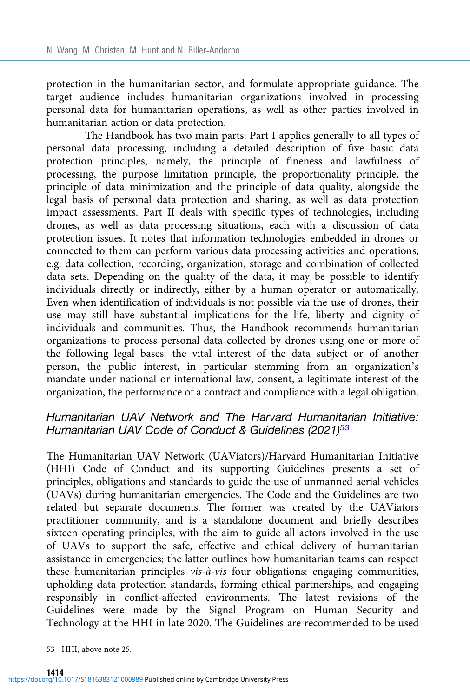protection in the humanitarian sector, and formulate appropriate guidance. The target audience includes humanitarian organizations involved in processing personal data for humanitarian operations, as well as other parties involved in humanitarian action or data protection.

The Handbook has two main parts: Part I applies generally to all types of personal data processing, including a detailed description of five basic data protection principles, namely, the principle of fineness and lawfulness of processing, the purpose limitation principle, the proportionality principle, the principle of data minimization and the principle of data quality, alongside the legal basis of personal data protection and sharing, as well as data protection impact assessments. Part II deals with specific types of technologies, including drones, as well as data processing situations, each with a discussion of data protection issues. It notes that information technologies embedded in drones or connected to them can perform various data processing activities and operations, e.g. data collection, recording, organization, storage and combination of collected data sets. Depending on the quality of the data, it may be possible to identify individuals directly or indirectly, either by a human operator or automatically. Even when identification of individuals is not possible via the use of drones, their use may still have substantial implications for the life, liberty and dignity of individuals and communities. Thus, the Handbook recommends humanitarian organizations to process personal data collected by drones using one or more of the following legal bases: the vital interest of the data subject or of another person, the public interest, in particular stemming from an organization's mandate under national or international law, consent, a legitimate interest of the organization, the performance of a contract and compliance with a legal obligation.

# Humanitarian UAV Network and The Harvard Humanitarian Initiative: Humanitarian UAV Code of Conduct & Guidelines (2021)<sup>53</sup>

The Humanitarian UAV Network (UAViators)/Harvard Humanitarian Initiative (HHI) Code of Conduct and its supporting Guidelines presents a set of principles, obligations and standards to guide the use of unmanned aerial vehicles (UAVs) during humanitarian emergencies. The Code and the Guidelines are two related but separate documents. The former was created by the UAViators practitioner community, and is a standalone document and briefly describes sixteen operating principles, with the aim to guide all actors involved in the use of UAVs to support the safe, effective and ethical delivery of humanitarian assistance in emergencies; the latter outlines how humanitarian teams can respect these humanitarian principles vis-à-vis four obligations: engaging communities, upholding data protection standards, forming ethical partnerships, and engaging responsibly in conflict-affected environments. The latest revisions of the Guidelines were made by the Signal Program on Human Security and Technology at the HHI in late 2020. The Guidelines are recommended to be used

53 HHI, above note 25.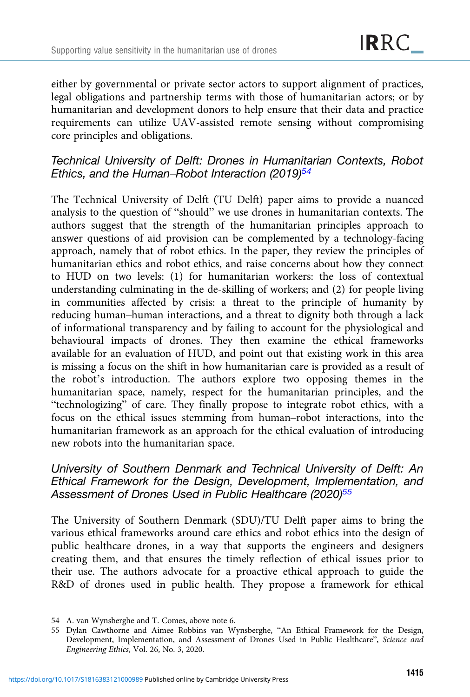either by governmental or private sector actors to support alignment of practices, legal obligations and partnership terms with those of humanitarian actors; or by humanitarian and development donors to help ensure that their data and practice requirements can utilize UAV-assisted remote sensing without compromising core principles and obligations.

# Technical University of Delft: Drones in Humanitarian Contexts, Robot Ethics, and the Human–Robot Interaction (2019)<sup>54</sup>

The Technical University of Delft (TU Delft) paper aims to provide a nuanced analysis to the question of "should" we use drones in humanitarian contexts. The authors suggest that the strength of the humanitarian principles approach to answer questions of aid provision can be complemented by a technology-facing approach, namely that of robot ethics. In the paper, they review the principles of humanitarian ethics and robot ethics, and raise concerns about how they connect to HUD on two levels: (1) for humanitarian workers: the loss of contextual understanding culminating in the de-skilling of workers; and (2) for people living in communities affected by crisis: a threat to the principle of humanity by reducing human–human interactions, and a threat to dignity both through a lack of informational transparency and by failing to account for the physiological and behavioural impacts of drones. They then examine the ethical frameworks available for an evaluation of HUD, and point out that existing work in this area is missing a focus on the shift in how humanitarian care is provided as a result of the robot's introduction. The authors explore two opposing themes in the humanitarian space, namely, respect for the humanitarian principles, and the "technologizing" of care. They finally propose to integrate robot ethics, with a focus on the ethical issues stemming from human–robot interactions, into the humanitarian framework as an approach for the ethical evaluation of introducing new robots into the humanitarian space.

# University of Southern Denmark and Technical University of Delft: An Ethical Framework for the Design, Development, Implementation, and Assessment of Drones Used in Public Healthcare (2020)<sup>55</sup>

The University of Southern Denmark (SDU)/TU Delft paper aims to bring the various ethical frameworks around care ethics and robot ethics into the design of public healthcare drones, in a way that supports the engineers and designers creating them, and that ensures the timely reflection of ethical issues prior to their use. The authors advocate for a proactive ethical approach to guide the R&D of drones used in public health. They propose a framework for ethical

<sup>54</sup> A. van Wynsberghe and T. Comes, above note 6.

<sup>55</sup> Dylan Cawthorne and Aimee Robbins van Wynsberghe, "An Ethical Framework for the Design, Development, Implementation, and Assessment of Drones Used in Public Healthcare", Science and Engineering Ethics, Vol. 26, No. 3, 2020.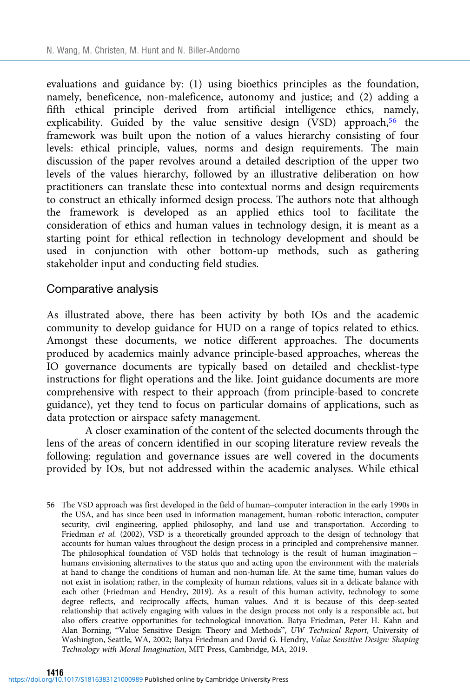evaluations and guidance by: (1) using bioethics principles as the foundation, namely, beneficence, non-maleficence, autonomy and justice; and (2) adding a fifth ethical principle derived from artificial intelligence ethics, namely, explicability. Guided by the value sensitive design (VSD) approach,<sup>56</sup> the framework was built upon the notion of a values hierarchy consisting of four levels: ethical principle, values, norms and design requirements. The main discussion of the paper revolves around a detailed description of the upper two levels of the values hierarchy, followed by an illustrative deliberation on how practitioners can translate these into contextual norms and design requirements to construct an ethically informed design process. The authors note that although the framework is developed as an applied ethics tool to facilitate the consideration of ethics and human values in technology design, it is meant as a starting point for ethical reflection in technology development and should be used in conjunction with other bottom-up methods, such as gathering stakeholder input and conducting field studies.

### Comparative analysis

As illustrated above, there has been activity by both IOs and the academic community to develop guidance for HUD on a range of topics related to ethics. Amongst these documents, we notice different approaches. The documents produced by academics mainly advance principle-based approaches, whereas the IO governance documents are typically based on detailed and checklist-type instructions for flight operations and the like. Joint guidance documents are more comprehensive with respect to their approach (from principle-based to concrete guidance), yet they tend to focus on particular domains of applications, such as data protection or airspace safety management.

A closer examination of the content of the selected documents through the lens of the areas of concern identified in our scoping literature review reveals the following: regulation and governance issues are well covered in the documents provided by IOs, but not addressed within the academic analyses. While ethical

56 The VSD approach was first developed in the field of human–computer interaction in the early 1990s in the USA, and has since been used in information management, human–robotic interaction, computer security, civil engineering, applied philosophy, and land use and transportation. According to Friedman et al. (2002), VSD is a theoretically grounded approach to the design of technology that accounts for human values throughout the design process in a principled and comprehensive manner. The philosophical foundation of VSD holds that technology is the result of human imagination – humans envisioning alternatives to the status quo and acting upon the environment with the materials at hand to change the conditions of human and non-human life. At the same time, human values do not exist in isolation; rather, in the complexity of human relations, values sit in a delicate balance with each other (Friedman and Hendry, 2019). As a result of this human activity, technology to some degree reflects, and reciprocally affects, human values. And it is because of this deep-seated relationship that actively engaging with values in the design process not only is a responsible act, but also offers creative opportunities for technological innovation. Batya Friedman, Peter H. Kahn and Alan Borning, "Value Sensitive Design: Theory and Methods", UW Technical Report, University of Washington, Seattle, WA, 2002; Batya Friedman and David G. Hendry, Value Sensitive Design: Shaping Technology with Moral Imagination, MIT Press, Cambridge, MA, 2019.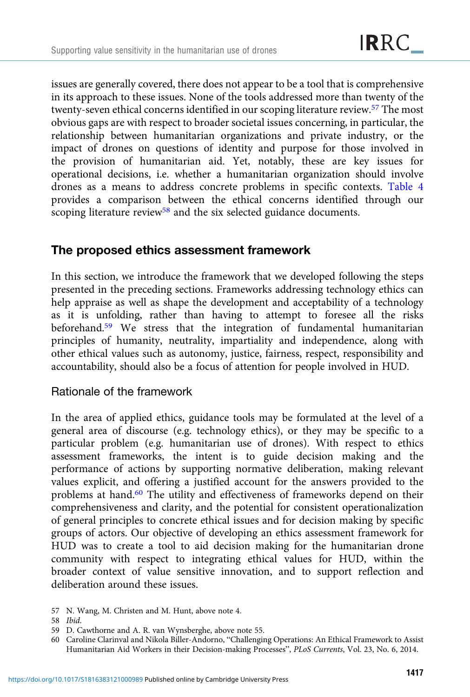issues are generally covered, there does not appear to be a tool that is comprehensive in its approach to these issues. None of the tools addressed more than twenty of the twenty-seven ethical concerns identified in our scoping literature review.57 The most obvious gaps are with respect to broader societal issues concerning, in particular, the relationship between humanitarian organizations and private industry, or the impact of drones on questions of identity and purpose for those involved in the provision of humanitarian aid. Yet, notably, these are key issues for operational decisions, i.e. whether a humanitarian organization should involve drones as a means to address concrete problems in specific contexts. [Table 4](#page-21-0) provides a comparison between the ethical concerns identified through our scoping literature review<sup>58</sup> and the six selected guidance documents.

# The proposed ethics assessment framework

In this section, we introduce the framework that we developed following the steps presented in the preceding sections. Frameworks addressing technology ethics can help appraise as well as shape the development and acceptability of a technology as it is unfolding, rather than having to attempt to foresee all the risks beforehand.<sup>59</sup> We stress that the integration of fundamental humanitarian principles of humanity, neutrality, impartiality and independence, along with other ethical values such as autonomy, justice, fairness, respect, responsibility and accountability, should also be a focus of attention for people involved in HUD.

# Rationale of the framework

In the area of applied ethics, guidance tools may be formulated at the level of a general area of discourse (e.g. technology ethics), or they may be specific to a particular problem (e.g. humanitarian use of drones). With respect to ethics assessment frameworks, the intent is to guide decision making and the performance of actions by supporting normative deliberation, making relevant values explicit, and offering a justified account for the answers provided to the problems at hand.60 The utility and effectiveness of frameworks depend on their comprehensiveness and clarity, and the potential for consistent operationalization of general principles to concrete ethical issues and for decision making by specific groups of actors. Our objective of developing an ethics assessment framework for HUD was to create a tool to aid decision making for the humanitarian drone community with respect to integrating ethical values for HUD, within the broader context of value sensitive innovation, and to support reflection and deliberation around these issues.

<sup>57</sup> N. Wang, M. Christen and M. Hunt, above note 4.

<sup>58</sup> Ibid.

<sup>59</sup> D. Cawthorne and A. R. van Wynsberghe, above note 55.

<sup>60</sup> Caroline Clarinval and Nikola Biller-Andorno, "Challenging Operations: An Ethical Framework to Assist Humanitarian Aid Workers in their Decision-making Processes", PLoS Currents, Vol. 23, No. 6, 2014.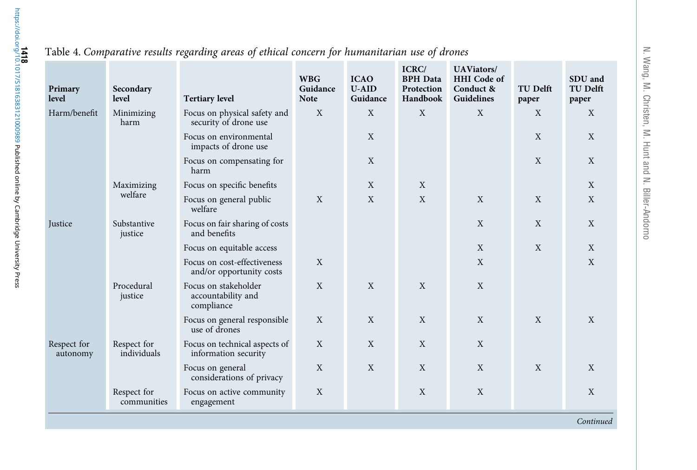| Primary<br>level        | Secondary<br>level         | <b>Tertiary level</b>                                    | <b>WBG</b><br>Guidance<br><b>Note</b> | <b>ICAO</b><br><b>U-AID</b><br>Guidance | ICRC/<br><b>BPH</b> Data<br>Protection<br>Handbook | <b>UAViators/</b><br><b>HHI</b> Code of<br>Conduct &<br>Guidelines | <b>TU Delft</b><br>paper | SDU and<br><b>TU Delft</b><br>paper |
|-------------------------|----------------------------|----------------------------------------------------------|---------------------------------------|-----------------------------------------|----------------------------------------------------|--------------------------------------------------------------------|--------------------------|-------------------------------------|
| Harm/benefit            | Minimizing<br>harm         | Focus on physical safety and<br>security of drone use    | X                                     | X                                       | X                                                  | X                                                                  | X                        | X                                   |
|                         |                            | Focus on environmental<br>impacts of drone use           |                                       | X                                       |                                                    |                                                                    | X                        | X                                   |
|                         |                            | Focus on compensating for<br>harm                        |                                       | X                                       |                                                    |                                                                    | X                        | X                                   |
|                         | Maximizing                 | Focus on specific benefits                               |                                       | X                                       | X                                                  |                                                                    |                          | X                                   |
|                         | welfare                    | Focus on general public<br>welfare                       | X                                     | X                                       | X                                                  | X                                                                  | X                        | X                                   |
| Justice                 | Substantive<br>justice     | Focus on fair sharing of costs<br>and benefits           |                                       |                                         |                                                    | X                                                                  | X                        | X                                   |
|                         |                            | Focus on equitable access                                |                                       |                                         |                                                    | X                                                                  | X                        | X                                   |
|                         |                            | Focus on cost-effectiveness<br>and/or opportunity costs  | X                                     |                                         |                                                    | X                                                                  |                          | X                                   |
|                         | Procedural<br>justice      | Focus on stakeholder<br>accountability and<br>compliance | $\mathbf X$                           | X                                       | X                                                  | X                                                                  |                          |                                     |
|                         |                            | Focus on general responsible<br>use of drones            | $\mathbf X$                           | X                                       | X                                                  | X                                                                  | X                        | X                                   |
| Respect for<br>autonomy | Respect for<br>individuals | Focus on technical aspects of<br>information security    | X                                     | X                                       | X                                                  | X                                                                  |                          |                                     |
|                         |                            | Focus on general<br>considerations of privacy            | X                                     | X                                       | X                                                  | X                                                                  | X                        | X                                   |
|                         | Respect for<br>communities | Focus on active community<br>engagement                  | X                                     |                                         | X                                                  | X                                                                  |                          | X                                   |
|                         |                            |                                                          |                                       |                                         |                                                    |                                                                    |                          | Continued                           |

## <span id="page-21-0"></span>Table 4. Comparative results regarding areas of ethical concern for humanitarian use of drones

N. Wang, M. Christen, M. Hunt and N. Biller

‐Andorno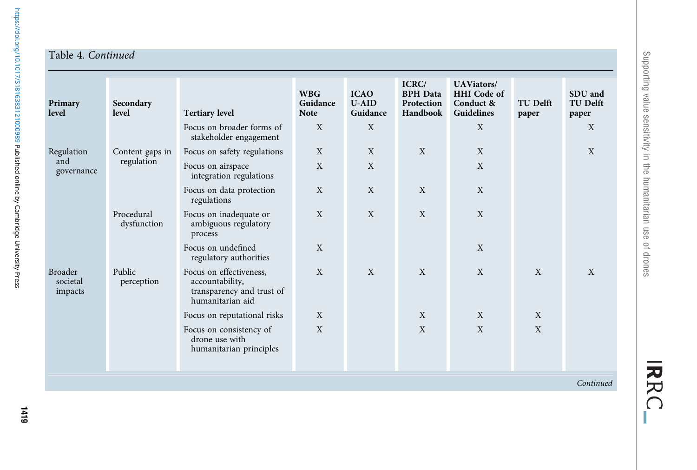## Table 4. Continued

| Primary<br>level                      | Secondary<br>level        | <b>Tertiary level</b>                                                                       | <b>WBG</b><br>Guidance<br><b>Note</b> | <b>ICAO</b><br>$U-AID$<br>Guidance | ICRC/<br><b>BPH</b> Data<br>Protection<br>Handbook | <b>UAViators/</b><br><b>HHI</b> Code of<br>Conduct &<br>Guidelines | <b>TU Delft</b><br>paper | SDU and<br><b>TU Delft</b><br>paper |
|---------------------------------------|---------------------------|---------------------------------------------------------------------------------------------|---------------------------------------|------------------------------------|----------------------------------------------------|--------------------------------------------------------------------|--------------------------|-------------------------------------|
|                                       |                           | Focus on broader forms of<br>stakeholder engagement                                         | X                                     | X                                  |                                                    | X                                                                  |                          | X                                   |
| Regulation                            | Content gaps in           | Focus on safety regulations                                                                 | X                                     | X                                  | X                                                  | X                                                                  |                          | X                                   |
| and<br>governance                     | regulation                | Focus on airspace<br>integration regulations                                                | X                                     | X                                  |                                                    | X                                                                  |                          |                                     |
|                                       |                           | Focus on data protection<br>regulations                                                     | X                                     | X                                  | X                                                  | X                                                                  |                          |                                     |
|                                       | Procedural<br>dysfunction | Focus on inadequate or<br>ambiguous regulatory<br>process                                   | X                                     | X                                  | $\mathbf X$                                        | X                                                                  |                          |                                     |
|                                       |                           | Focus on undefined<br>regulatory authorities                                                | X                                     |                                    |                                                    | X                                                                  |                          |                                     |
| <b>Broader</b><br>societal<br>impacts | Public<br>perception      | Focus on effectiveness,<br>accountability,<br>transparency and trust of<br>humanitarian aid | X                                     | X                                  | X                                                  | X                                                                  | X                        | $\mathbf{X}$                        |
|                                       |                           | Focus on reputational risks                                                                 | X                                     |                                    | X                                                  | X                                                                  | X                        |                                     |
|                                       |                           | Focus on consistency of<br>drone use with<br>humanitarian principles                        | X                                     |                                    | X                                                  | X                                                                  | X                        |                                     |

Continued

IRRC\_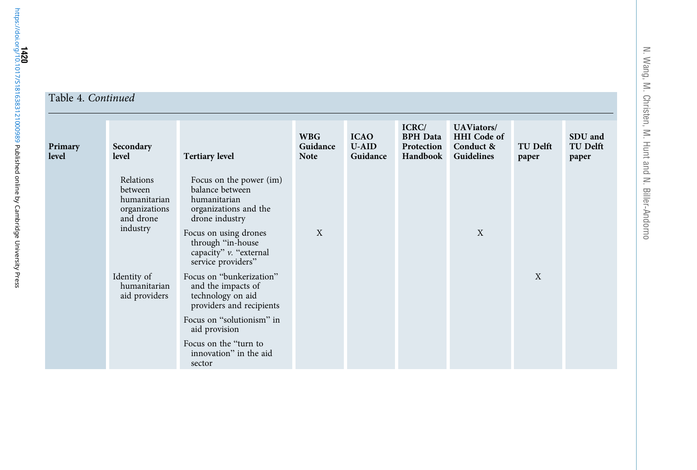#### Table 4. Continued

| Primary<br>level | Secondary<br>level                                                             | <b>Tertiary level</b>                                                                                                                                                                               | <b>WBG</b><br>Guidance<br><b>Note</b> | <b>ICAO</b><br><b>U-AID</b><br>Guidance | ICRC/<br><b>BPH</b> Data<br>Protection<br>Handbook | <b>UAViators/</b><br><b>HHI</b> Code of<br>Conduct &<br>Guidelines | <b>TU Delft</b><br>paper | SDU and<br><b>TU Delft</b><br>paper |
|------------------|--------------------------------------------------------------------------------|-----------------------------------------------------------------------------------------------------------------------------------------------------------------------------------------------------|---------------------------------------|-----------------------------------------|----------------------------------------------------|--------------------------------------------------------------------|--------------------------|-------------------------------------|
|                  | Relations<br>between<br>humanitarian<br>organizations<br>and drone<br>industry | Focus on the power (im)<br>balance between<br>humanitarian<br>organizations and the<br>drone industry<br>Focus on using drones<br>through "in-house<br>capacity" v. "external<br>service providers" | X                                     |                                         |                                                    | $\boldsymbol{X}$                                                   |                          |                                     |
|                  | Identity of<br>humanitarian<br>aid providers                                   | Focus on "bunkerization"<br>and the impacts of<br>technology on aid<br>providers and recipients                                                                                                     |                                       |                                         |                                                    |                                                                    | X                        |                                     |
|                  |                                                                                | Focus on "solutionism" in<br>aid provision                                                                                                                                                          |                                       |                                         |                                                    |                                                                    |                          |                                     |
|                  |                                                                                | Focus on the "turn to<br>innovation" in the aid<br>sector                                                                                                                                           |                                       |                                         |                                                    |                                                                    |                          |                                     |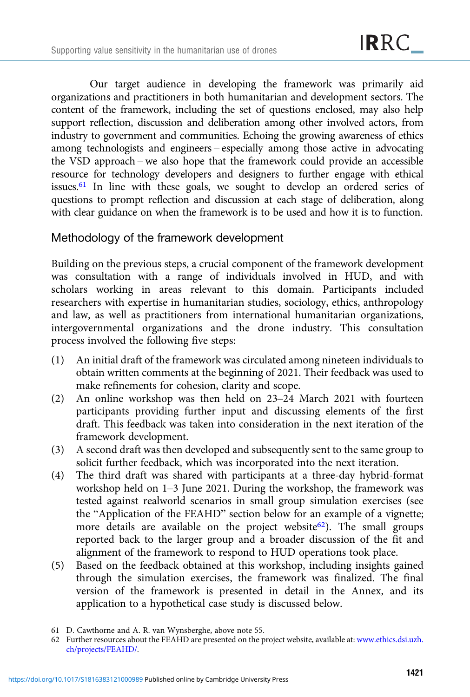Our target audience in developing the framework was primarily aid organizations and practitioners in both humanitarian and development sectors. The content of the framework, including the set of questions enclosed, may also help support reflection, discussion and deliberation among other involved actors, from industry to government and communities. Echoing the growing awareness of ethics among technologists and engineers – especially among those active in advocating the VSD approach – we also hope that the framework could provide an accessible resource for technology developers and designers to further engage with ethical issues.61 In line with these goals, we sought to develop an ordered series of questions to prompt reflection and discussion at each stage of deliberation, along with clear guidance on when the framework is to be used and how it is to function.

# Methodology of the framework development

Building on the previous steps, a crucial component of the framework development was consultation with a range of individuals involved in HUD, and with scholars working in areas relevant to this domain. Participants included researchers with expertise in humanitarian studies, sociology, ethics, anthropology and law, as well as practitioners from international humanitarian organizations, intergovernmental organizations and the drone industry. This consultation process involved the following five steps:

- (1) An initial draft of the framework was circulated among nineteen individuals to obtain written comments at the beginning of 2021. Their feedback was used to make refinements for cohesion, clarity and scope.
- (2) An online workshop was then held on 23–24 March 2021 with fourteen participants providing further input and discussing elements of the first draft. This feedback was taken into consideration in the next iteration of the framework development.
- (3) A second draft was then developed and subsequently sent to the same group to solicit further feedback, which was incorporated into the next iteration.
- (4) The third draft was shared with participants at a three-day hybrid-format workshop held on 1–3 June 2021. During the workshop, the framework was tested against realworld scenarios in small group simulation exercises (see the "Application of the FEAHD" section below for an example of a vignette; more details are available on the project website<sup>62</sup>). The small groups reported back to the larger group and a broader discussion of the fit and alignment of the framework to respond to HUD operations took place.
- (5) Based on the feedback obtained at this workshop, including insights gained through the simulation exercises, the framework was finalized. The final version of the framework is presented in detail in the Annex, and its application to a hypothetical case study is discussed below.

<sup>61</sup> D. Cawthorne and A. R. van Wynsberghe, above note 55.

<sup>62</sup> Further resources about the FEAHD are presented on the project website, available at: [www.ethics.dsi.uzh.](https://www.ethics.dsi.uzh.ch/projects/FEAHD/) [ch/projects/FEAHD/](https://www.ethics.dsi.uzh.ch/projects/FEAHD/).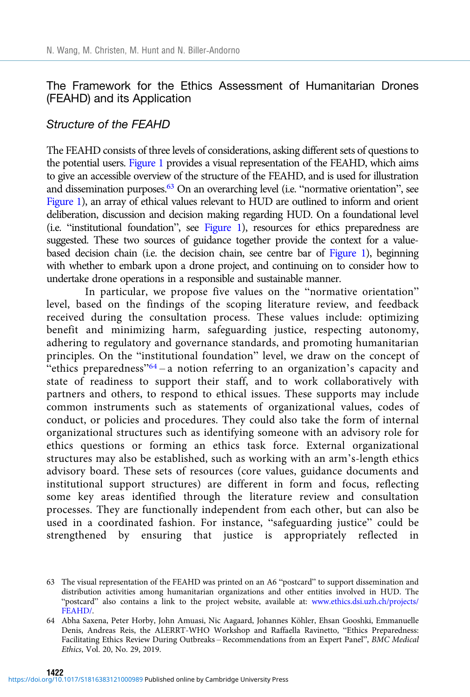# The Framework for the Ethics Assessment of Humanitarian Drones (FEAHD) and its Application

## Structure of the FEAHD

The FEAHD consists of three levels of considerations, asking different sets of questions to the potential users. [Figure 1](#page-26-0) provides a visual representation of the FEAHD, which aims to give an accessible overview of the structure of the FEAHD, and is used for illustration and dissemination purposes.<sup>63</sup> On an overarching level (i.e. "normative orientation", see [Figure 1](#page-26-0)), an array of ethical values relevant to HUD are outlined to inform and orient deliberation, discussion and decision making regarding HUD. On a foundational level (i.e. "institutional foundation", see [Figure 1\)](#page-26-0), resources for ethics preparedness are suggested. These two sources of guidance together provide the context for a value-based decision chain (i.e. the decision chain, see centre bar of [Figure 1](#page-26-0)), beginning with whether to embark upon a drone project, and continuing on to consider how to undertake drone operations in a responsible and sustainable manner.

In particular, we propose five values on the "normative orientation" level, based on the findings of the scoping literature review, and feedback received during the consultation process. These values include: optimizing benefit and minimizing harm, safeguarding justice, respecting autonomy, adhering to regulatory and governance standards, and promoting humanitarian principles. On the "institutional foundation" level, we draw on the concept of "ethics preparedness" $64 - a$  notion referring to an organization's capacity and state of readiness to support their staff, and to work collaboratively with partners and others, to respond to ethical issues. These supports may include common instruments such as statements of organizational values, codes of conduct, or policies and procedures. They could also take the form of internal organizational structures such as identifying someone with an advisory role for ethics questions or forming an ethics task force. External organizational structures may also be established, such as working with an arm's-length ethics advisory board. These sets of resources (core values, guidance documents and institutional support structures) are different in form and focus, reflecting some key areas identified through the literature review and consultation processes. They are functionally independent from each other, but can also be used in a coordinated fashion. For instance, "safeguarding justice" could be strengthened by ensuring that justice is appropriately reflected in

<sup>63</sup> The visual representation of the FEAHD was printed on an A6 "postcard" to support dissemination and distribution activities among humanitarian organizations and other entities involved in HUD. The "postcard" also contains a link to the project website, available at: [www.ethics.dsi.uzh.ch/projects/](https://www.ethics.dsi.uzh.ch/projects/FEAHD/) [FEAHD/](https://www.ethics.dsi.uzh.ch/projects/FEAHD/).

<sup>64</sup> Abha Saxena, Peter Horby, John Amuasi, Nic Aagaard, Johannes Köhler, Ehsan Gooshki, Emmanuelle Denis, Andreas Reis, the ALERRT-WHO Workshop and Raffaella Ravinetto, "Ethics Preparedness: Facilitating Ethics Review During Outbreaks – Recommendations from an Expert Panel", BMC Medical Ethics, Vol. 20, No. 29, 2019.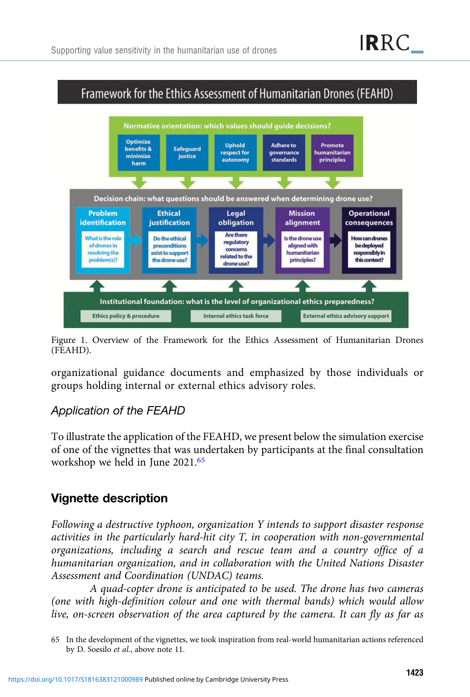<span id="page-26-0"></span>

Figure 1. Overview of the Framework for the Ethics Assessment of Humanitarian Drones (FEAHD).

organizational guidance documents and emphasized by those individuals or groups holding internal or external ethics advisory roles.

# Application of the FEAHD

To illustrate the application of the FEAHD, we present below the simulation exercise of one of the vignettes that was undertaken by participants at the final consultation workshop we held in June 2021.<sup>65</sup>

# Vignette description

Following a destructive typhoon, organization Y intends to support disaster response activities in the particularly hard-hit city T, in cooperation with non-governmental organizations, including a search and rescue team and a country office of a humanitarian organization, and in collaboration with the United Nations Disaster Assessment and Coordination (UNDAC) teams.

A quad-copter drone is anticipated to be used. The drone has two cameras (one with high-definition colour and one with thermal bands) which would allow live, on-screen observation of the area captured by the camera. It can fly as far as

<sup>65</sup> In the development of the vignettes, we took inspiration from real-world humanitarian actions referenced by D. Soesilo et al., above note 11.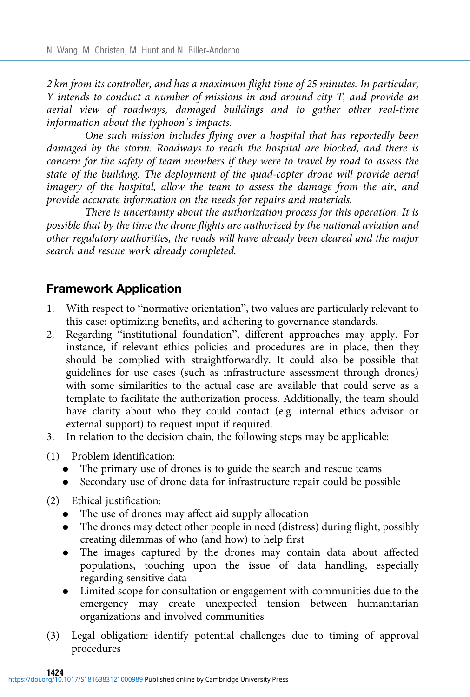2 km from its controller, and has a maximum flight time of 25 minutes. In particular, Y intends to conduct a number of missions in and around city T, and provide an aerial view of roadways, damaged buildings and to gather other real-time information about the typhoon's impacts.

One such mission includes flying over a hospital that has reportedly been damaged by the storm. Roadways to reach the hospital are blocked, and there is concern for the safety of team members if they were to travel by road to assess the state of the building. The deployment of the quad-copter drone will provide aerial imagery of the hospital, allow the team to assess the damage from the air, and provide accurate information on the needs for repairs and materials.

There is uncertainty about the authorization process for this operation. It is possible that by the time the drone flights are authorized by the national aviation and other regulatory authorities, the roads will have already been cleared and the major search and rescue work already completed.

# Framework Application

- 1. With respect to "normative orientation", two values are particularly relevant to this case: optimizing benefits, and adhering to governance standards.
- 2. Regarding "institutional foundation", different approaches may apply. For instance, if relevant ethics policies and procedures are in place, then they should be complied with straightforwardly. It could also be possible that guidelines for use cases (such as infrastructure assessment through drones) with some similarities to the actual case are available that could serve as a template to facilitate the authorization process. Additionally, the team should have clarity about who they could contact (e.g. internal ethics advisor or external support) to request input if required.
- 3. In relation to the decision chain, the following steps may be applicable:
- (1) Problem identification:
	- The primary use of drones is to guide the search and rescue teams
	- . Secondary use of drone data for infrastructure repair could be possible
- (2) Ethical justification:
	- . The use of drones may affect aid supply allocation
	- . The drones may detect other people in need (distress) during flight, possibly creating dilemmas of who (and how) to help first
	- . The images captured by the drones may contain data about affected populations, touching upon the issue of data handling, especially regarding sensitive data
	- . Limited scope for consultation or engagement with communities due to the emergency may create unexpected tension between humanitarian organizations and involved communities
- (3) Legal obligation: identify potential challenges due to timing of approval procedures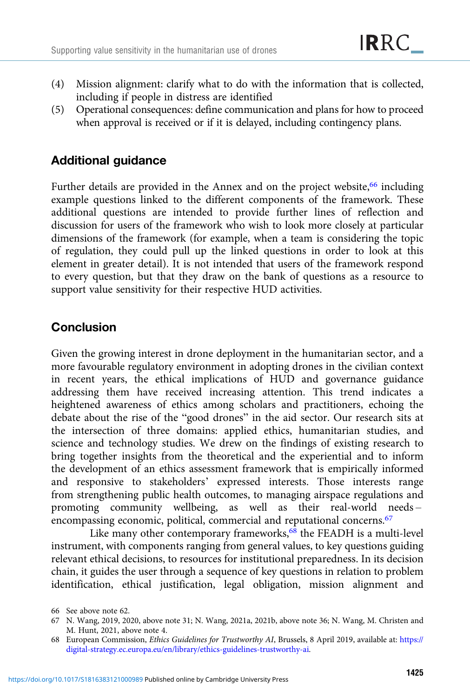- (4) Mission alignment: clarify what to do with the information that is collected, including if people in distress are identified
- (5) Operational consequences: define communication and plans for how to proceed when approval is received or if it is delayed, including contingency plans.

# Additional guidance

Further details are provided in the Annex and on the project website,<sup>66</sup> including example questions linked to the different components of the framework. These additional questions are intended to provide further lines of reflection and discussion for users of the framework who wish to look more closely at particular dimensions of the framework (for example, when a team is considering the topic of regulation, they could pull up the linked questions in order to look at this element in greater detail). It is not intended that users of the framework respond to every question, but that they draw on the bank of questions as a resource to support value sensitivity for their respective HUD activities.

# Conclusion

Given the growing interest in drone deployment in the humanitarian sector, and a more favourable regulatory environment in adopting drones in the civilian context in recent years, the ethical implications of HUD and governance guidance addressing them have received increasing attention. This trend indicates a heightened awareness of ethics among scholars and practitioners, echoing the debate about the rise of the "good drones" in the aid sector. Our research sits at the intersection of three domains: applied ethics, humanitarian studies, and science and technology studies. We drew on the findings of existing research to bring together insights from the theoretical and the experiential and to inform the development of an ethics assessment framework that is empirically informed and responsive to stakeholders' expressed interests. Those interests range from strengthening public health outcomes, to managing airspace regulations and promoting community wellbeing, as well as their real-world needs – encompassing economic, political, commercial and reputational concerns.<sup>67</sup>

Like many other contemporary frameworks,<sup>68</sup> the FEADH is a multi-level instrument, with components ranging from general values, to key questions guiding relevant ethical decisions, to resources for institutional preparedness. In its decision chain, it guides the user through a sequence of key questions in relation to problem identification, ethical justification, legal obligation, mission alignment and

<sup>66</sup> See above note 62.

<sup>67</sup> N. Wang, 2019, 2020, above note 31; N. Wang, 2021a, 2021b, above note 36; N. Wang, M. Christen and M. Hunt, 2021, above note 4.

<sup>68</sup> European Commission, Ethics Guidelines for Trustworthy AI, Brussels, 8 April 2019, available at: [https://](https://digital-strategy.ec.europa.eu/en/library/ethics-guidelines-trustworthy-ai) [digital-strategy.ec.europa.eu/en/library/ethics-guidelines-trustworthy-ai.](https://digital-strategy.ec.europa.eu/en/library/ethics-guidelines-trustworthy-ai)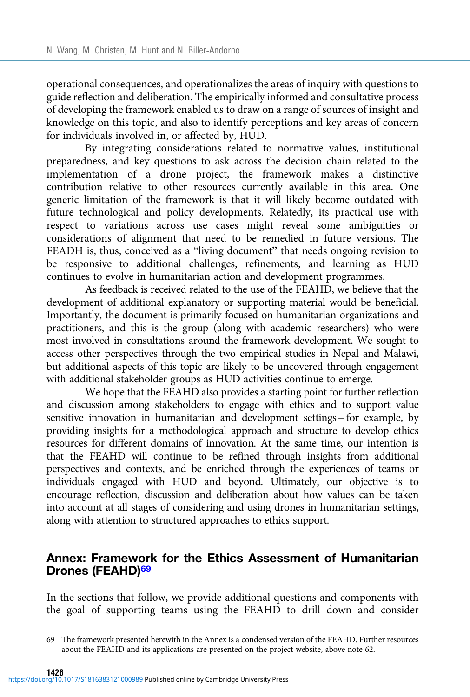<span id="page-29-0"></span>operational consequences, and operationalizes the areas of inquiry with questions to guide reflection and deliberation. The empirically informed and consultative process of developing the framework enabled us to draw on a range of sources of insight and knowledge on this topic, and also to identify perceptions and key areas of concern for individuals involved in, or affected by, HUD.

By integrating considerations related to normative values, institutional preparedness, and key questions to ask across the decision chain related to the implementation of a drone project, the framework makes a distinctive contribution relative to other resources currently available in this area. One generic limitation of the framework is that it will likely become outdated with future technological and policy developments. Relatedly, its practical use with respect to variations across use cases might reveal some ambiguities or considerations of alignment that need to be remedied in future versions. The FEADH is, thus, conceived as a "living document" that needs ongoing revision to be responsive to additional challenges, refinements, and learning as HUD continues to evolve in humanitarian action and development programmes.

As feedback is received related to the use of the FEAHD, we believe that the development of additional explanatory or supporting material would be beneficial. Importantly, the document is primarily focused on humanitarian organizations and practitioners, and this is the group (along with academic researchers) who were most involved in consultations around the framework development. We sought to access other perspectives through the two empirical studies in Nepal and Malawi, but additional aspects of this topic are likely to be uncovered through engagement with additional stakeholder groups as HUD activities continue to emerge.

We hope that the FEAHD also provides a starting point for further reflection and discussion among stakeholders to engage with ethics and to support value sensitive innovation in humanitarian and development settings – for example, by providing insights for a methodological approach and structure to develop ethics resources for different domains of innovation. At the same time, our intention is that the FEAHD will continue to be refined through insights from additional perspectives and contexts, and be enriched through the experiences of teams or individuals engaged with HUD and beyond. Ultimately, our objective is to encourage reflection, discussion and deliberation about how values can be taken into account at all stages of considering and using drones in humanitarian settings, along with attention to structured approaches to ethics support.

# Annex: Framework for the Ethics Assessment of Humanitarian Drones (FEAHD)<sup>69</sup>

In the sections that follow, we provide additional questions and components with the goal of supporting teams using the FEAHD to drill down and consider

<sup>69</sup> The framework presented herewith in the Annex is a condensed version of the FEAHD. Further resources about the FEAHD and its applications are presented on the project website, above note 62.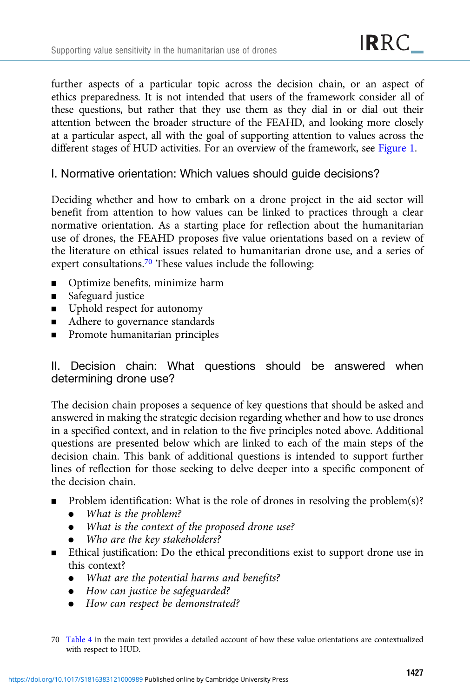further aspects of a particular topic across the decision chain, or an aspect of ethics preparedness. It is not intended that users of the framework consider all of these questions, but rather that they use them as they dial in or dial out their attention between the broader structure of the FEAHD, and looking more closely at a particular aspect, all with the goal of supporting attention to values across the different stages of HUD activities. For an overview of the framework, see [Figure 1.](#page-26-0)

# I. Normative orientation: Which values should guide decisions?

Deciding whether and how to embark on a drone project in the aid sector will benefit from attention to how values can be linked to practices through a clear normative orientation. As a starting place for reflection about the humanitarian use of drones, the FEAHD proposes five value orientations based on a review of the literature on ethical issues related to humanitarian drone use, and a series of expert consultations.[70](#page-29-0) These values include the following:

- **•** Optimize benefits, minimize harm
- Safeguard justice
- **■** Uphold respect for autonomy
- Adhere to governance standards
- **EXECUTE:** Promote humanitarian principles

# II. Decision chain: What questions should be answered when determining drone use?

The decision chain proposes a sequence of key questions that should be asked and answered in making the strategic decision regarding whether and how to use drones in a specified context, and in relation to the five principles noted above. Additional questions are presented below which are linked to each of the main steps of the decision chain. This bank of additional questions is intended to support further lines of reflection for those seeking to delve deeper into a specific component of the decision chain.

- Problem identification: What is the role of drones in resolving the problem(s)?
	- . What is the problem?
	- . What is the context of the proposed drone use?
	- Who are the key stakeholders?
- **Ethical justification:** Do the ethical preconditions exist to support drone use in this context?
	- What are the potential harms and benefits?
	- . How can justice be safeguarded?
	- How can respect be demonstrated?
- 70 [Table 4](#page-21-0) in the main text provides a detailed account of how these value orientations are contextualized with respect to HUD.